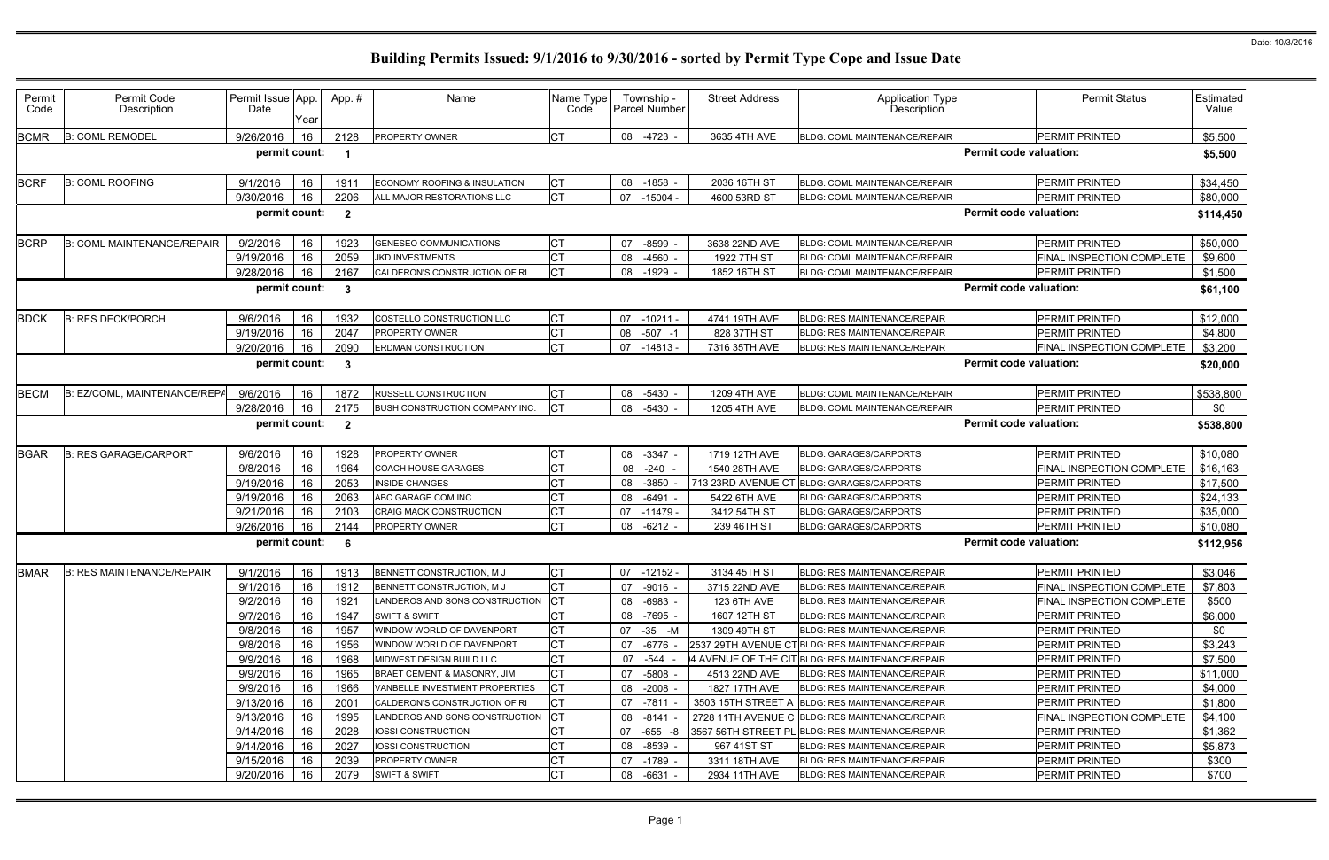| <b>Permit Status</b>             | Estimated<br>Value                                                                                                                                                                                                                                |
|----------------------------------|---------------------------------------------------------------------------------------------------------------------------------------------------------------------------------------------------------------------------------------------------|
| PERMIT PRINTED                   | \$5,500                                                                                                                                                                                                                                           |
|                                  | \$5,500                                                                                                                                                                                                                                           |
| PERMIT PRINTED                   | \$34,450                                                                                                                                                                                                                                          |
| PERMIT PRINTED                   | \$80,000                                                                                                                                                                                                                                          |
|                                  | \$114,450                                                                                                                                                                                                                                         |
| PERMIT PRINTED                   | \$50,000                                                                                                                                                                                                                                          |
| FINAL INSPECTION COMPLETE        | \$9,600                                                                                                                                                                                                                                           |
| PERMIT PRINTED                   | \$1,500                                                                                                                                                                                                                                           |
|                                  | \$61,100                                                                                                                                                                                                                                          |
| PERMIT PRINTED                   | \$12,000                                                                                                                                                                                                                                          |
| PERMIT PRINTED                   | \$4,800                                                                                                                                                                                                                                           |
|                                  | \$3,200                                                                                                                                                                                                                                           |
|                                  | \$20,000                                                                                                                                                                                                                                          |
| PERMIT PRINTED                   | \$538,800                                                                                                                                                                                                                                         |
|                                  | \$0                                                                                                                                                                                                                                               |
|                                  | \$538,800                                                                                                                                                                                                                                         |
| PERMIT PRINTED                   | \$10,080                                                                                                                                                                                                                                          |
| FINAL INSPECTION COMPLETE        | \$16,163                                                                                                                                                                                                                                          |
| PERMIT PRINTED                   | \$17,500                                                                                                                                                                                                                                          |
|                                  | \$24,133                                                                                                                                                                                                                                          |
|                                  | \$35,000                                                                                                                                                                                                                                          |
|                                  | \$10,080                                                                                                                                                                                                                                          |
|                                  | \$112,956                                                                                                                                                                                                                                         |
| PERMIT PRINTED                   | \$3,046                                                                                                                                                                                                                                           |
|                                  |                                                                                                                                                                                                                                                   |
| FINAL INSPECTION COMPLETE        | \$7,803                                                                                                                                                                                                                                           |
| FINAL INSPECTION COMPLETE        | \$500                                                                                                                                                                                                                                             |
| PERMIT PRINTED                   | \$6,000                                                                                                                                                                                                                                           |
| PERMIT PRINTED                   | \$0                                                                                                                                                                                                                                               |
| PERMIT PRINTED                   | \$3,243                                                                                                                                                                                                                                           |
| PERMIT PRINTED                   | \$7,500                                                                                                                                                                                                                                           |
| <b>PERMIT PRINTED</b>            | \$11,000                                                                                                                                                                                                                                          |
| PERMIT PRINTED                   | \$4,000                                                                                                                                                                                                                                           |
| PERMIT PRINTED                   | \$1,800                                                                                                                                                                                                                                           |
| FINAL INSPECTION COMPLETE        | \$4,100                                                                                                                                                                                                                                           |
| PERMIT PRINTED                   | \$1,362                                                                                                                                                                                                                                           |
| PERMIT PRINTED                   | \$5,873                                                                                                                                                                                                                                           |
| PERMIT PRINTED<br>PERMIT PRINTED | \$300<br>\$700                                                                                                                                                                                                                                    |
|                                  | rmit code valuation:<br>rmit code valuation:<br>rmit code valuation:<br>FINAL INSPECTION COMPLETE<br>rmit code valuation:<br>PERMIT PRINTED<br>rmit code valuation:<br>PERMIT PRINTED<br>PERMIT PRINTED<br>PERMIT PRINTED<br>rmit code valuation: |

| Permit<br>Code | Permit Code<br>Description        | Permit Issue App.<br>Date | Year       | App. #         | Name                           | Name Type<br>Code |           | Township -<br>Parcel Number | <b>Street Address</b> | <b>Application Type</b><br><b>Description</b>    |                               | <b>Permit Status</b>             | Estimated<br>Value |
|----------------|-----------------------------------|---------------------------|------------|----------------|--------------------------------|-------------------|-----------|-----------------------------|-----------------------|--------------------------------------------------|-------------------------------|----------------------------------|--------------------|
| <b>BCMR</b>    | <b>B: COML REMODEL</b>            | 9/26/2016                 | 16         | 2128           | <b>PROPERTY OWNER</b>          | <b>CT</b>         | 08 -4723  |                             | 3635 4TH AVE          | <b>BLDG: COML MAINTENANCE/REPAIR</b>             |                               | PERMIT PRINTED                   | \$5,500            |
|                |                                   | permit count:             |            |                |                                |                   |           |                             |                       |                                                  | <b>Permit code valuation:</b> |                                  | \$5,500            |
| <b>BCRF</b>    | <b>B: COML ROOFING</b>            | 9/1/2016                  | 16         | 1911           | ECONOMY ROOFING & INSULATION   | <b>CT</b>         | 08 -1858  |                             | 2036 16TH ST          | <b>BLDG: COML MAINTENANCE/REPAIR</b>             |                               | PERMIT PRINTED                   | \$34,450           |
|                |                                   | 9/30/2016                 | 16         | 2206           | ALL MAJOR RESTORATIONS LLC     | <b>CT</b>         | 07 -15004 |                             | 4600 53RD ST          | <b>BLDG: COML MAINTENANCE/REPAIR</b>             |                               | PERMIT PRINTED                   | \$80,000           |
|                |                                   | permit count:             |            | $\overline{2}$ |                                |                   |           |                             |                       |                                                  | <b>Permit code valuation:</b> |                                  | \$114,450          |
| <b>BCRP</b>    | <b>B: COML MAINTENANCE/REPAIR</b> | 9/2/2016                  | 16         | 1923           | <b>GENESEO COMMUNICATIONS</b>  | СT                | 07        | -8599                       | 3638 22ND AVE         | <b>BLDG: COML MAINTENANCE/REPAIR</b>             |                               | <b>PERMIT PRINTED</b>            | \$50,000           |
|                |                                   | 9/19/2016                 | 16         | 2059           | <b>JKD INVESTMENTS</b>         | <b>CT</b>         | 08        | $-4560$                     | 1922 7TH ST           | <b>BLDG: COML MAINTENANCE/REPAIR</b>             |                               | FINAL INSPECTION COMPLETE        | \$9,600            |
|                |                                   | 9/28/2016                 | 16         | 2167           | CALDERON'S CONSTRUCTION OF RI  |                   | 08        | -1929                       | 1852 16TH ST          | <b>BLDG: COML MAINTENANCE/REPAIR</b>             |                               | PERMIT PRINTED                   | \$1,500            |
|                |                                   | permit count:             |            | $\mathbf{3}$   |                                |                   |           |                             |                       |                                                  | <b>Permit code valuation:</b> |                                  | \$61,100           |
| <b>BDCK</b>    | <b>B: RES DECK/PORCH</b>          | 9/6/2016                  | 16         | 1932           | COSTELLO CONSTRUCTION LLC      | СT                | 07        | $-10211$                    | 4741 19TH AVE         | <b>BLDG: RES MAINTENANCE/REPAIR</b>              |                               | <b>PERMIT PRINTED</b>            | \$12,000           |
|                |                                   | 9/19/2016                 | 16         | 2047           | <b>PROPERTY OWNER</b>          | <b>CT</b>         | 80        | $-507 - 1$                  | 828 37TH ST           | <b>BLDG: RES MAINTENANCE/REPAIR</b>              |                               | <b>PERMIT PRINTED</b>            | \$4,800            |
|                |                                   | 9/20/2016                 | 16         | 2090           | <b>ERDMAN CONSTRUCTION</b>     | СT                |           | 07 -14813 -                 | 7316 35TH AVE         | BLDG: RES MAINTENANCE/REPAIR                     |                               | FINAL INSPECTION COMPLETE        | \$3,200            |
|                |                                   | permit count:             |            | -3             |                                |                   |           |                             |                       |                                                  | <b>Permit code valuation:</b> |                                  | \$20,000           |
| <b>BECM</b>    | B: EZ/COML, MAINTENANCE/REPA      | 9/6/2016                  | 16         | 1872           | <b>RUSSELL CONSTRUCTION</b>    |                   |           | 08 -5430 -                  | 1209 4TH AVE          | <b>BLDG: COML MAINTENANCE/REPAIR</b>             |                               | <b>PERMIT PRINTED</b>            | \$538,800          |
|                |                                   | 9/28/2016                 | 16         | 2175           | BUSH CONSTRUCTION COMPANY INC. |                   | 08 -5430  |                             | 1205 4TH AVE          | <b>BLDG: COML MAINTENANCE/REPAIR</b>             |                               | PERMIT PRINTED                   | \$0                |
|                |                                   | permit count:             |            | $\overline{2}$ |                                |                   |           |                             |                       |                                                  | <b>Permit code valuation:</b> |                                  | \$538,800          |
| <b>BGAR</b>    | <b>B: RES GARAGE/CARPORT</b>      | 9/6/2016                  | 16         | 1928           | PROPERTY OWNER                 | <b>CT</b>         | 08 -3347  |                             | 1719 12TH AVE         | <b>BLDG: GARAGES/CARPORTS</b>                    |                               | <b>PERMIT PRINTED</b>            | \$10,080           |
|                |                                   | 9/8/2016                  | 16         | 1964           | <b>COACH HOUSE GARAGES</b>     | <b>CT</b>         | 08        | $-240 -$                    | 1540 28TH AVE         | <b>BLDG: GARAGES/CARPORTS</b>                    |                               | FINAL INSPECTION COMPLETE        | \$16,163           |
|                |                                   | 9/19/2016                 | 16         | 2053           | <b>INSIDE CHANGES</b>          |                   | 08        | $-3850$                     | 713 23RD AVENUE CT    | BLDG: GARAGES/CARPORTS                           |                               | <b>PERMIT PRINTED</b>            | \$17,500           |
|                |                                   | 9/19/2016                 | 16         | 2063           | ABC GARAGE.COM INC             | СT                | 08        | -6491                       | 5422 6TH AVE          | <b>BLDG: GARAGES/CARPORTS</b>                    |                               | PERMIT PRINTED                   | \$24,133           |
|                |                                   | 9/21/2016                 | 16         | 2103           | <b>CRAIG MACK CONSTRUCTION</b> | СT                | 07        | $-11479$                    | 3412 54TH ST          | <b>BLDG: GARAGES/CARPORTS</b>                    |                               | <b>PERMIT PRINTED</b>            | \$35,000           |
|                |                                   | 9/26/2016                 | 16         | 2144           | PROPERTY OWNER                 |                   |           | 08 - 6212 -                 | 239 46TH ST           | <b>BLDG: GARAGES/CARPORTS</b>                    |                               | PERMIT PRINTED                   | \$10,080           |
|                |                                   | permit count:             |            | -6             |                                |                   |           |                             |                       |                                                  | <b>Permit code valuation:</b> |                                  | \$112,956          |
|                | BMAR B: RES MAINTENANCE/REPAIR    | 9/1/2016                  | $\vert$ 16 |                | 1913 BENNETT CONSTRUCTION, MJ  | <b>CT</b>         |           | $07 - 12152 -$              | 3134 45TH ST          | BLDG: RES MAINTENANCE/REPAIR                     |                               | PERMIT PRINTED                   | \$3,046            |
|                |                                   | 9/1/2016                  | 16         | 1912           | BENNETT CONSTRUCTION, M J      | СT                |           | 07 -9016 -                  | 3715 22ND AVE         | <b>BLDG: RES MAINTENANCE/REPAIR</b>              |                               | <b>FINAL INSPECTION COMPLETE</b> | \$7,803            |
|                |                                   | 9/2/2016                  | 16         | 1921           | LANDEROS AND SONS CONSTRUCTION | IСT               |           | 08 -6983 -                  | 123 6TH AVE           | BLDG: RES MAINTENANCE/REPAIR                     |                               | FINAL INSPECTION COMPLETE        | \$500              |
|                |                                   | 9/7/2016                  | 16         | 1947           | <b>SWIFT &amp; SWIFT</b>       | <b>CT</b>         |           | 08 -7695 -                  | 1607 12TH ST          | <b>BLDG: RES MAINTENANCE/REPAIR</b>              |                               | PERMIT PRINTED                   | \$6,000            |
|                |                                   | 9/8/2016                  | 16         | 1957           | WINDOW WORLD OF DAVENPORT      | СT                |           | 07 -35 -M                   | 1309 49TH ST          | <b>BLDG: RES MAINTENANCE/REPAIR</b>              |                               | <b>PERMIT PRINTED</b>            | \$0                |
|                |                                   | 9/8/2016                  | 16         | 1956           | WINDOW WORLD OF DAVENPORT      | <b>CT</b>         | 07        | -6776                       |                       | 2537 29TH AVENUE CT BLDG: RES MAINTENANCE/REPAIR |                               | PERMIT PRINTED                   | \$3,243            |
|                |                                   | 9/9/2016                  | 16         | 1968           | MIDWEST DESIGN BUILD LLC       | <b>CT</b>         | 07 -544   |                             |                       | 4 AVENUE OF THE CIT BLDG: RES MAINTENANCE/REPAIR |                               | PERMIT PRINTED                   | \$7,500            |
|                |                                   | 9/9/2016                  | 16         | 1965           | BRAET CEMENT & MASONRY, JIM    | <b>CT</b>         | 07        | -5808                       | 4513 22ND AVE         | <b>BLDG: RES MAINTENANCE/REPAIR</b>              |                               | PERMIT PRINTED                   | \$11,000           |
|                |                                   | 9/9/2016                  | 16         | 1966           | VANBELLE INVESTMENT PROPERTIES | СT                | 08 -2008  |                             | 1827 17TH AVE         | <b>BLDG: RES MAINTENANCE/REPAIR</b>              |                               | PERMIT PRINTED                   | \$4,000            |
|                |                                   | 9/13/2016                 | 16         | 2001           | CALDERON'S CONSTRUCTION OF RI  | CТ                | 07 -7811  |                             |                       | 3503 15TH STREET A BLDG: RES MAINTENANCE/REPAIR  |                               | PERMIT PRINTED                   | \$1,800            |
|                |                                   | 9/13/2016                 | 16         | 1995           | LANDEROS AND SONS CONSTRUCTION |                   | 08 -8141  |                             |                       | 2728 11TH AVENUE C BLDG: RES MAINTENANCE/REPAIR  |                               | FINAL INSPECTION COMPLETE        | \$4,100            |
|                |                                   | 9/14/2016                 | 16         | 2028           | IOSSI CONSTRUCTION             |                   |           | 07 -655 -8                  | 3567 56TH STREET PL   | BLDG: RES MAINTENANCE/REPAIR                     |                               | <b>PERMIT PRINTED</b>            | \$1,362            |
|                |                                   | 9/14/2016                 | 16         | 2027           | IOSSI CONSTRUCTION             | СT                |           | 08 -8539 -                  | 967 41ST ST           | <b>BLDG: RES MAINTENANCE/REPAIR</b>              |                               | PERMIT PRINTED                   | \$5,873            |
|                |                                   | 9/15/2016                 | 16         | 2039           | PROPERTY OWNER                 |                   |           | 07 -1789 -                  | 3311 18TH AVE         | <b>BLDG: RES MAINTENANCE/REPAIR</b>              |                               | PERMIT PRINTED                   | \$300              |
|                |                                   | 9/20/2016                 | 16         | 2079           | <b>SWIFT &amp; SWIFT</b>       |                   | 08 -6631  |                             | 2934 11TH AVE         | <b>BLDG: RES MAINTENANCE/REPAIR</b>              |                               | PERMIT PRINTED                   | \$700              |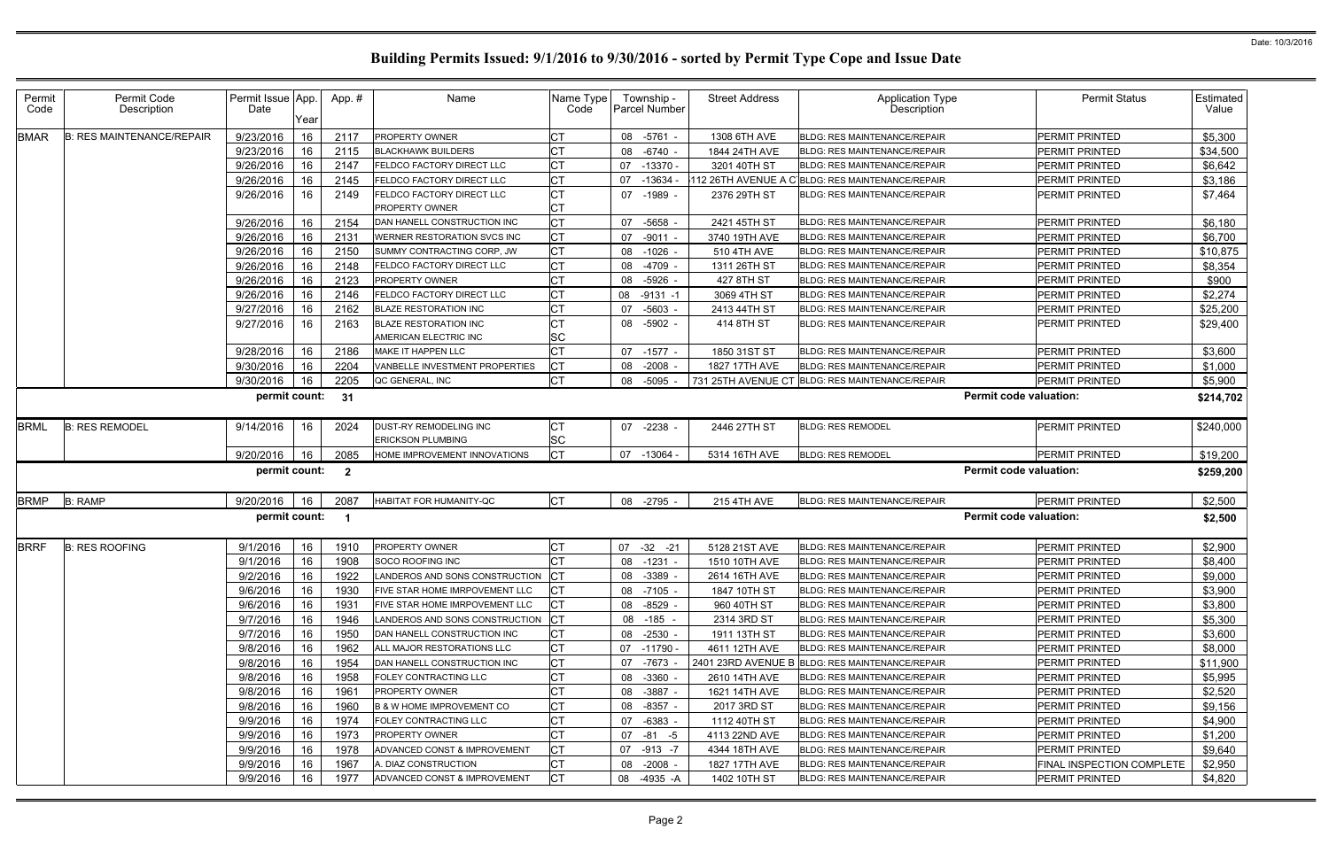| Permit<br>Code | Permit Code<br>Description       | Permit Issue App.<br>Date | Year | App.#                   | Name                                                  | Name Type<br>Code      | Township -<br><b>Parcel Number</b> | <b>Street Address</b> | <b>Application Type</b><br><b>Description</b>    | <b>Permit Status</b>          | Estimated<br>Value |
|----------------|----------------------------------|---------------------------|------|-------------------------|-------------------------------------------------------|------------------------|------------------------------------|-----------------------|--------------------------------------------------|-------------------------------|--------------------|
| BMAR           | <b>B: RES MAINTENANCE/REPAIR</b> | 9/23/2016                 | 16   | 2117                    | PROPERTY OWNER                                        | <b>CT</b>              | 08 -5761                           | 1308 6TH AVE          | <b>BLDG: RES MAINTENANCE/REPAIR</b>              | <b>PERMIT PRINTED</b>         | \$5,300            |
|                |                                  | 9/23/2016                 | 16   | 2115                    | <b>BLACKHAWK BUILDERS</b>                             | <b>CT</b>              | $-6740$<br>08                      | 1844 24TH AVE         | <b>BLDG: RES MAINTENANCE/REPAIR</b>              | PERMIT PRINTED                | \$34,500           |
|                |                                  | 9/26/2016                 | 16   | 2147                    | <b>ELDCO FACTORY DIRECT LLC</b>                       | <b>CT</b>              | -13370 -<br>07                     | 3201 40TH ST          | <b>BLDG: RES MAINTENANCE/REPAIR</b>              | <b>PERMIT PRINTED</b>         | \$6,642            |
|                |                                  | 9/26/2016                 | 16   | 2145                    | FELDCO FACTORY DIRECT LLC                             | Iст                    | $-13634$<br>07                     |                       | 112 26TH AVENUE A C BLDG: RES MAINTENANCE/REPAIR | PERMIT PRINTED                | \$3,186            |
|                |                                  | 9/26/2016                 | 16   | 2149                    | FELDCO FACTORY DIRECT LLC                             | <b>CT</b>              | 07 -1989                           | 2376 29TH ST          | <b>BLDG: RES MAINTENANCE/REPAIR</b>              | <b>PERMIT PRINTED</b>         | \$7,464            |
|                |                                  |                           |      |                         | <b>PROPERTY OWNER</b>                                 | <b>CT</b>              |                                    |                       |                                                  |                               |                    |
|                |                                  | 9/26/2016                 | 16   | 2154                    | DAN HANELL CONSTRUCTION INC                           | <b>CT</b>              | -5658<br>07                        | 2421 45TH ST          | <b>BLDG: RES MAINTENANCE/REPAIR</b>              | PERMIT PRINTED                | \$6,180            |
|                |                                  | 9/26/2016                 | 16   | 2131                    | <b>WERNER RESTORATION SVCS INC</b>                    | <b>CT</b>              | $-9011$<br>07                      | 3740 19TH AVE         | BLDG: RES MAINTENANCE/REPAIR                     | <b>PERMIT PRINTED</b>         | \$6,700            |
|                |                                  | 9/26/2016                 | 16   | 2150                    | SUMMY CONTRACTING CORP, JW                            | <b>CT</b>              | 08 -1026                           | 510 4TH AVE           | <b>BLDG: RES MAINTENANCE/REPAIR</b>              | <b>PERMIT PRINTED</b>         | \$10,875           |
|                |                                  | 9/26/2016                 | 16   | 2148                    | FELDCO FACTORY DIRECT LLC                             | <b>CT</b>              | -4709<br>08                        | 1311 26TH ST          | BLDG: RES MAINTENANCE/REPAIR                     | <b>PERMIT PRINTED</b>         | \$8,354            |
|                |                                  | 9/26/2016                 | 16   | 2123                    | <b>PROPERTY OWNER</b>                                 | <b>CT</b>              | $-5926$<br>08                      | 427 8TH ST            | <b>BLDG: RES MAINTENANCE/REPAIR</b>              | <b>PERMIT PRINTED</b>         | \$900              |
|                |                                  | 9/26/2016                 | 16   | 2146                    | FELDCO FACTORY DIRECT LLC                             | <b>CT</b>              | $-9131 - 1$<br>08                  | 3069 4TH ST           | BLDG: RES MAINTENANCE/REPAIR                     | <b>PERMIT PRINTED</b>         | \$2,274            |
|                |                                  | 9/27/2016                 | 16   | 2162                    | <b>BLAZE RESTORATION INC</b>                          | Iст                    | 07<br>-5603                        | 2413 44TH ST          | <b>BLDG: RES MAINTENANCE/REPAIR</b>              | <b>PERMIT PRINTED</b>         | \$25,200           |
|                |                                  | 9/27/2016                 | 16   | 2163                    | <b>BLAZE RESTORATION INC</b><br>AMERICAN ELECTRIC INC | <b>CT</b><br><b>SC</b> | 08 -5902 -                         | 414 8TH ST            | <b>BLDG: RES MAINTENANCE/REPAIR</b>              | <b>PERMIT PRINTED</b>         | \$29,400           |
|                |                                  | 9/28/2016                 | 16   | 2186                    | <b>MAKE IT HAPPEN LLC</b>                             | <b>CT</b>              | 07 -1577 -                         | 1850 31ST ST          | <b>BLDG: RES MAINTENANCE/REPAIR</b>              | <b>PERMIT PRINTED</b>         | \$3,600            |
|                |                                  | 9/30/2016                 | 16   | 2204                    | VANBELLE INVESTMENT PROPERTIES                        | <b>CT</b>              | $-2008$<br>08                      | 1827 17TH AVE         | <b>BLDG: RES MAINTENANCE/REPAIR</b>              | <b>PERMIT PRINTED</b>         | \$1,000            |
|                |                                  | 9/30/2016                 | 16   | 2205                    | QC GENERAL, INC                                       | <b>CT</b>              | 08 -5095                           |                       | 731 25TH AVENUE CT BLDG: RES MAINTENANCE/REPAIR  | PERMIT PRINTED                | \$5,900            |
|                |                                  | permit count:             |      | 31                      |                                                       |                        |                                    |                       |                                                  | <b>Permit code valuation:</b> | \$214,702          |
| BRML           | <b>B: RES REMODEL</b>            | 9/14/2016                 | 16   | 2024                    | DUST-RY REMODELING INC<br><b>ERICKSON PLUMBING</b>    | IСТ<br><b>SC</b>       | 07 -2238 -                         | 2446 27TH ST          | <b>BLDG: RES REMODEL</b>                         | <b>PERMIT PRINTED</b>         | \$240,000          |
|                |                                  | 9/20/2016                 | 16   | 2085                    | HOME IMPROVEMENT INNOVATIONS                          | <b>ICT</b>             | 07 -13064                          | 5314 16TH AVE         | <b>BLDG: RES REMODEL</b>                         | <b>PERMIT PRINTED</b>         | \$19,200           |
|                |                                  | permit count:             |      | $\overline{\mathbf{2}}$ |                                                       |                        |                                    |                       |                                                  | <b>Permit code valuation:</b> | \$259,200          |
| <b>BRMP</b>    | <b>B: RAMP</b>                   | 9/20/2016                 | 16   | 2087                    | HABITAT FOR HUMANITY-QC                               | <b>ICT</b>             | 08 -2795                           | <b>215 4TH AVE</b>    | <b>BLDG: RES MAINTENANCE/REPAIR</b>              | PERMIT PRINTED                | \$2,500            |
|                |                                  | permit count:             |      |                         |                                                       |                        |                                    |                       |                                                  | <b>Permit code valuation:</b> | \$2,500            |
| <b>BRRF</b>    | <b>B: RES ROOFING</b>            | 9/1/2016                  | 16   | 1910                    | PROPERTY OWNER                                        | <b>CT</b>              | 07 -32 -21                         | 5128 21ST AVE         | <b>BLDG: RES MAINTENANCE/REPAIR</b>              | PERMIT PRINTED                | \$2,900            |
|                |                                  | 9/1/2016                  | 16   | 1908                    | SOCO ROOFING INC                                      | <b>CT</b>              | 08 -1231                           | 1510 10TH AVE         | <b>BLDG: RES MAINTENANCE/REPAIR</b>              | PERMIT PRINTED                | \$8,400            |
|                |                                  | 9/2/2016                  | -16  | 1922                    | LANDEROS AND SONS CONSTRUCTION CT                     |                        | 08 -3389                           | 2614 16TH AVE         | <b>BLDG: RES MAINTENANCE/REPAIR</b>              | <b>PERMIT PRINTED</b>         | \$9,000            |
|                |                                  | 9/6/2016                  | 16   | 1930                    | FIVE STAR HOME IMRPOVEMENT LLC                        | IСТ                    | 08 -7105                           | 1847 10TH ST          | <b>BLDG: RES MAINTENANCE/REPAIR</b>              | <b>PERMIT PRINTED</b>         | \$3,900            |
|                |                                  | 9/6/2016                  | 16   | 1931                    | FIVE STAR HOME IMRPOVEMENT LLC                        | IСТ                    | 08 -8529                           | 960 40TH ST           | <b>BLDG: RES MAINTENANCE/REPAIR</b>              | <b>PERMIT PRINTED</b>         | \$3,800            |
|                |                                  | 9/7/2016                  | 16   | 1946                    | LANDEROS AND SONS CONSTRUCTION                        | <b>ICT</b>             | 08 -185 -                          | 2314 3RD ST           | <b>BLDG: RES MAINTENANCE/REPAIR</b>              | <b>PERMIT PRINTED</b>         | \$5,300            |
|                |                                  | 9/7/2016                  | 16   | 1950                    | DAN HANELL CONSTRUCTION INC                           | <b>CT</b>              | 08 -2530 -                         | 1911 13TH ST          | <b>BLDG: RES MAINTENANCE/REPAIR</b>              | PERMIT PRINTED                | \$3,600            |
|                |                                  | 9/8/2016                  | 16   | 1962                    | ALL MAJOR RESTORATIONS LLC                            | <b>CT</b>              | 07 -11790 -                        | 4611 12TH AVE         | <b>BLDG: RES MAINTENANCE/REPAIR</b>              | PERMIT PRINTED                | \$8,000            |
|                |                                  | 9/8/2016                  | 16   | 1954                    | DAN HANELL CONSTRUCTION INC                           | <b>CT</b>              | 07 -7673                           |                       | 2401 23RD AVENUE B BLDG: RES MAINTENANCE/REPAIR  | PERMIT PRINTED                | \$11,900           |
|                |                                  | 9/8/2016                  | 16   | 1958                    | <b>FOLEY CONTRACTING LLC</b>                          | <b>CT</b>              | 08 -3360                           | 2610 14TH AVE         | <b>BLDG: RES MAINTENANCE/REPAIR</b>              | <b>PERMIT PRINTED</b>         | \$5,995            |
|                |                                  | 9/8/2016                  | 16   | 1961                    | PROPERTY OWNER                                        | <b>CT</b>              | 08 -3887                           | 1621 14TH AVE         | <b>BLDG: RES MAINTENANCE/REPAIR</b>              | PERMIT PRINTED                | \$2,520            |
|                |                                  | 9/8/2016                  | 16   | 1960                    | B & W HOME IMPROVEMENT CO                             | <b>CT</b>              | 08 -8357 -                         | 2017 3RD ST           | <b>BLDG: RES MAINTENANCE/REPAIR</b>              | PERMIT PRINTED                | \$9,156            |
|                |                                  | 9/9/2016                  | 16   | 1974                    | FOLEY CONTRACTING LLC                                 | Iст                    | 07 -6383 -                         | 1112 40TH ST          | BLDG: RES MAINTENANCE/REPAIR                     | PERMIT PRINTED                | \$4,900            |
|                |                                  | 9/9/2016                  | 16   | 1973                    | <b>PROPERTY OWNER</b>                                 | <b>CT</b>              | 07 -81 -5                          | 4113 22ND AVE         | <b>BLDG: RES MAINTENANCE/REPAIR</b>              | PERMIT PRINTED                | \$1,200            |
|                |                                  | 9/9/2016                  | 16   | 1978                    | ADVANCED CONST & IMPROVEMENT                          | <b>CT</b>              | 07 -913 -7                         | 4344 18TH AVE         | <b>BLDG: RES MAINTENANCE/REPAIR</b>              | PERMIT PRINTED                | \$9,640            |
|                |                                  | 9/9/2016                  | 16   | 1967                    | A. DIAZ CONSTRUCTION                                  | <b>CT</b>              | 08 -2008 -                         | 1827 17TH AVE         | BLDG: RES MAINTENANCE/REPAIR                     | FINAL INSPECTION COMPLETE     | \$2,950            |
|                |                                  | 9/9/2016                  | 16   | 1977                    | ADVANCED CONST & IMPROVEMENT                          | <b>ICT</b>             | 08 -4935 -A                        | 1402 10TH ST          | <b>BLDG: RES MAINTENANCE/REPAIR</b>              | <b>PERMIT PRINTED</b>         | \$4,820            |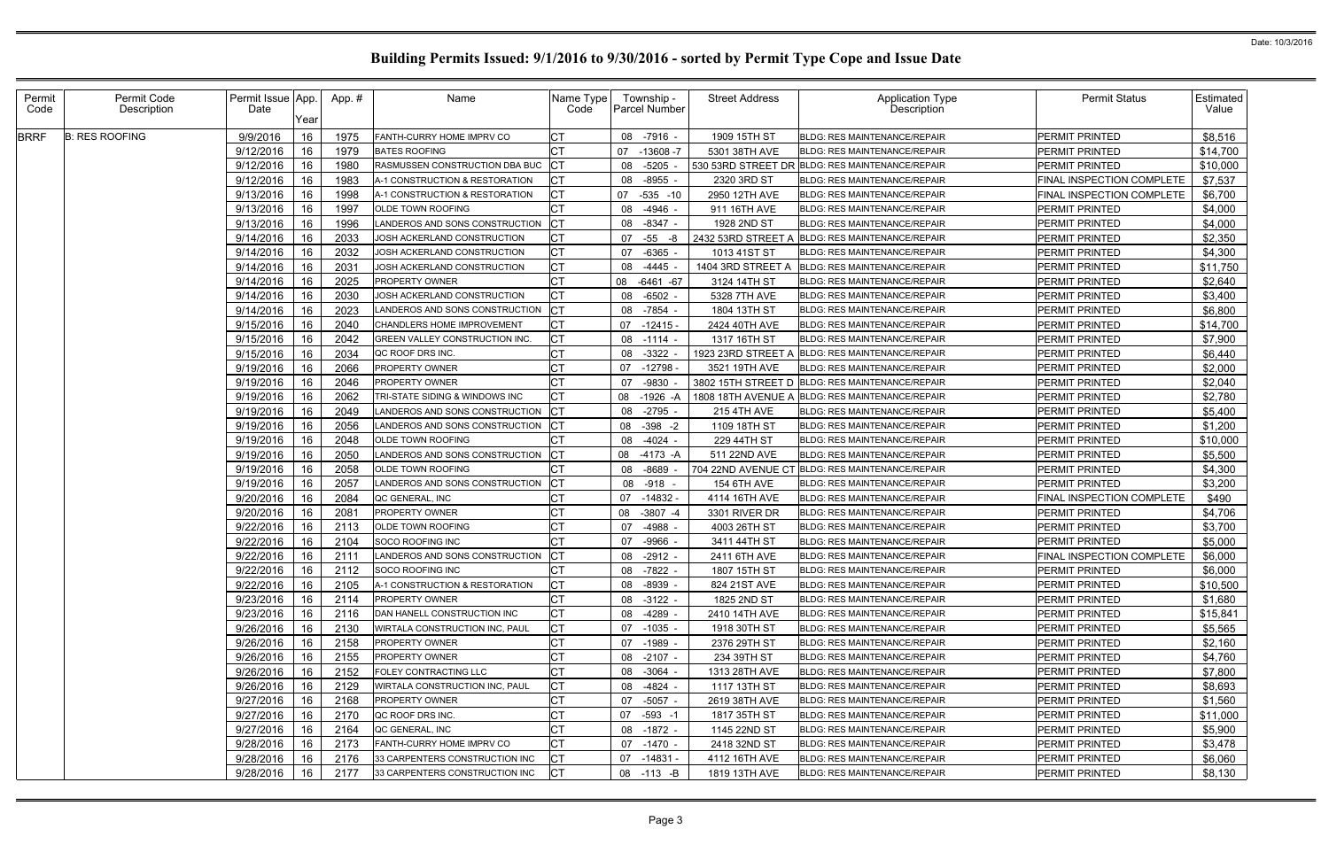| Permit<br>Code | Permit Code<br>Description | Permit Issue App.<br>Date | Year | App. # | Name                              | Name Type<br>Code | Township -<br><b>Parcel Number</b> | <b>Street Address</b> | <b>Application Type</b><br>Description          | <b>Permit Status</b>      | Estimated<br>Value |
|----------------|----------------------------|---------------------------|------|--------|-----------------------------------|-------------------|------------------------------------|-----------------------|-------------------------------------------------|---------------------------|--------------------|
| <b>BRRF</b>    | <b>B: RES ROOFING</b>      | 9/9/2016                  | 16   | 1975   | FANTH-CURRY HOME IMPRV CO         | IСТ               | 08 -7916                           | 1909 15TH ST          | <b>BLDG: RES MAINTENANCE/REPAIR</b>             | PERMIT PRINTED            | \$8,516            |
|                |                            | 9/12/2016                 | 16   | 1979   | <b>BATES ROOFING</b>              | IСТ               | -13608 -7<br>07                    | 5301 38TH AVE         | <b>BLDG: RES MAINTENANCE/REPAIR</b>             | PERMIT PRINTED            | \$14,700           |
|                |                            | 9/12/2016                 | 16   | 1980   | RASMUSSEN CONSTRUCTION DBA BUC    | <b>CT</b>         | 08 -5205                           |                       | 530 53RD STREET DR BLDG: RES MAINTENANCE/REPAIR | PERMIT PRINTED            | \$10,000           |
|                |                            | 9/12/2016                 | 16   | 1983   | A-1 CONSTRUCTION & RESTORATION    | <b>CT</b>         | 08 -8955                           | 2320 3RD ST           | BLDG: RES MAINTENANCE/REPAIR                    | FINAL INSPECTION COMPLETE | \$7,537            |
|                |                            | 9/13/2016                 | 16   | 1998   | A-1 CONSTRUCTION & RESTORATION    | <b>CT</b>         | 07 -535 -10                        | 2950 12TH AVE         | <b>BLDG: RES MAINTENANCE/REPAIR</b>             | FINAL INSPECTION COMPLETE | \$6,700            |
|                |                            | 9/13/2016                 | 16   | 1997   | OLDE TOWN ROOFING                 | <b>CT</b>         | -4946<br>08                        | 911 16TH AVE          | <b>BLDG: RES MAINTENANCE/REPAIR</b>             | PERMIT PRINTED            | \$4,000            |
|                |                            | 9/13/2016                 | 16   | 1996   | ANDEROS AND SONS CONSTRUCTION     | <b>ICT</b>        | 08 -8347                           | 1928 2ND ST           | <b>BLDG: RES MAINTENANCE/REPAIR</b>             | PERMIT PRINTED            | \$4,000            |
|                |                            | 9/14/2016                 | 16   | 2033   | JOSH ACKERLAND CONSTRUCTION       | <b>CT</b>         | 07 -55 -8                          | 2432 53RD STREET A    | BLDG: RES MAINTENANCE/REPAIR                    | PERMIT PRINTED            | \$2,350            |
|                |                            | 9/14/2016                 | 16   | 2032   | JOSH ACKERLAND CONSTRUCTION       | <b>CT</b>         | -6365<br>07                        | 1013 41ST ST          | <b>BLDG: RES MAINTENANCE/REPAIR</b>             | PERMIT PRINTED            | \$4,300            |
|                |                            | 9/14/2016                 | 16   | 2031   | JOSH ACKERLAND CONSTRUCTION       | Iст               | -4445<br>08                        | 1404 3RD STREET A     | BLDG: RES MAINTENANCE/REPAIR                    | PERMIT PRINTED            | \$11,750           |
|                |                            | 9/14/2016                 | 16   | 2025   | <b>PROPERTY OWNER</b>             | <b>CT</b>         | 08<br>-6461 -67                    | 3124 14TH ST          | <b>BLDG: RES MAINTENANCE/REPAIR</b>             | PERMIT PRINTED            | \$2,640            |
|                |                            | 9/14/2016                 | 16   | 2030   | JOSH ACKERLAND CONSTRUCTION       | <b>CT</b>         | 08 -6502                           | 5328 7TH AVE          | <b>BLDG: RES MAINTENANCE/REPAIR</b>             | PERMIT PRINTED            | \$3,400            |
|                |                            | 9/14/2016                 | 16   | 2023   | ANDEROS AND SONS CONSTRUCTION     | CT                | 08 -7854                           | 1804 13TH ST          | BLDG: RES MAINTENANCE/REPAIR                    | PERMIT PRINTED            | \$6,800            |
|                |                            | 9/15/2016                 | 16   | 2040   | CHANDLERS HOME IMPROVEMENT        | <b>CT</b>         | $07 - 12415$                       | 2424 40TH AVE         | <b>BLDG: RES MAINTENANCE/REPAIR</b>             | PERMIT PRINTED            | \$14,700           |
|                |                            | 9/15/2016                 | 16   | 2042   | GREEN VALLEY CONSTRUCTION INC     | <b>CT</b>         | 08 -1114                           | 1317 16TH ST          | BLDG: RES MAINTENANCE/REPAIR                    | PERMIT PRINTED            | \$7,900            |
|                |                            | 9/15/2016                 | 16   | 2034   | QC ROOF DRS INC.                  | <b>CT</b>         | 08<br>-3322                        | 1923 23RD STREET A    | <b>BLDG: RES MAINTENANCE/REPAIR</b>             | PERMIT PRINTED            | \$6,440            |
|                |                            | 9/19/2016                 | 16   | 2066   | <b>PROPERTY OWNER</b>             | Iст               | 07 -12798                          | 3521 19TH AVE         | <b>BLDG: RES MAINTENANCE/REPAIR</b>             | PERMIT PRINTED            | \$2,000            |
|                |                            | 9/19/2016                 | 16   | 2046   | PROPERTY OWNER                    | Iст               | -9830<br>07                        |                       | 3802 15TH STREET D BLDG: RES MAINTENANCE/REPAIR | <b>PERMIT PRINTED</b>     | \$2,040            |
|                |                            | 9/19/2016                 | 16   | 2062   | TRI-STATE SIDING & WINDOWS INC    | IСТ               | $-1926 - 4$<br>08                  | 1808 18TH AVENUE A    | <b>BLDG: RES MAINTENANCE/REPAIR</b>             | PERMIT PRINTED            | \$2,780            |
|                |                            | 9/19/2016                 | 16   | 2049   | LANDEROS AND SONS CONSTRUCTION    | <b>CT</b>         | 08 -2795                           | <b>215 4TH AVE</b>    | <b>BLDG: RES MAINTENANCE/REPAIR</b>             | PERMIT PRINTED            | \$5,400            |
|                |                            | 9/19/2016                 | 16   | 2056   | ANDEROS AND SONS CONSTRUCTION     | <b>CT</b>         | 08 - 398 - 2                       | 1109 18TH ST          | BLDG: RES MAINTENANCE/REPAIR                    | PERMIT PRINTED            | \$1,200            |
|                |                            | 9/19/2016                 | 16   | 2048   | OLDE TOWN ROOFING                 | <b>CT</b>         | 08 -4024 -                         | 229 44TH ST           | BLDG: RES MAINTENANCE/REPAIR                    | PERMIT PRINTED            | \$10,000           |
|                |                            | 9/19/2016                 | 16   | 2050   | LANDEROS AND SONS CONSTRUCTION    | <b>CT</b>         | 08 -4173 -A                        | 511 22ND AVE          | <b>BLDG: RES MAINTENANCE/REPAIR</b>             | PERMIT PRINTED            | \$5,500            |
|                |                            | 9/19/2016                 | 16   | 2058   | OLDE TOWN ROOFING                 | <b>CT</b>         | -8689<br>08                        |                       | 704 22ND AVENUE CT BLDG: RES MAINTENANCE/REPAIR | PERMIT PRINTED            | \$4,300            |
|                |                            | 9/19/2016                 | 16   | 2057   | LANDEROS AND SONS CONSTRUCTION CT |                   | 08 -918                            | <b>154 6TH AVE</b>    | <b>BLDG: RES MAINTENANCE/REPAIR</b>             | PERMIT PRINTED            | \$3,200            |
|                |                            | 9/20/2016                 | 16   | 2084   | QC GENERAL, INC                   | Iст               | 07 -14832                          | 4114 16TH AVE         | <b>BLDG: RES MAINTENANCE/REPAIR</b>             | FINAL INSPECTION COMPLETE | \$490              |
|                |                            | 9/20/2016                 | 16   | 2081   | PROPERTY OWNER                    | <b>CT</b>         | $-3807 -4$<br>08                   | 3301 RIVER DR         | <b>BLDG: RES MAINTENANCE/REPAIR</b>             | <b>PERMIT PRINTED</b>     | \$4,706            |
|                |                            | 9/22/2016                 | 16   | 2113   | OLDE TOWN ROOFING                 | IСТ               | -4988<br>07                        | 4003 26TH ST          | <b>BLDG: RES MAINTENANCE/REPAIR</b>             | PERMIT PRINTED            | \$3,700            |
|                |                            | 9/22/2016                 | 16   | 2104   | SOCO ROOFING INC                  | Iст               | -9966<br>07                        | 3411 44TH ST          | <b>BLDG: RES MAINTENANCE/REPAIR</b>             | PERMIT PRINTED            | \$5,000            |
|                |                            | 9/22/2016                 | 16   | 2111   | LANDEROS AND SONS CONSTRUCTION    |                   | 08 -2912 -                         | 2411 6TH AVE          | BLDG: RES MAINTENANCE/REPAIR                    | FINAL INSPECTION COMPLETE | \$6,000            |
|                |                            | $9/22/2016$ 16            |      | 2112   | SOCO ROOFING INC                  | I∩т.<br>∣∪∣       | 08 -7822                           | 1807 15TH ST          | BLDG: RES MAINTENANCE/REPAIR                    | PERMIT PRINTED            | \$6,000            |
|                |                            | 9/22/2016                 | 16   | 2105   | A-1 CONSTRUCTION & RESTORATION    | <b>ICT</b>        | 08 -8939 -                         | 824 21ST AVE          | BLDG: RES MAINTENANCE/REPAIR                    | <b>PERMIT PRINTED</b>     | \$10,500           |
|                |                            | 9/23/2016                 | 16   | 2114   | <b>PROPERTY OWNER</b>             | <b>CT</b>         | 08 -3122                           | 1825 2ND ST           | <b>BLDG: RES MAINTENANCE/REPAIR</b>             | PERMIT PRINTED            | \$1,680            |
|                |                            | 9/23/2016                 | 16   | 2116   | DAN HANELL CONSTRUCTION INC       | <b>CT</b>         | 08 -4289                           | 2410 14TH AVE         | <b>BLDG: RES MAINTENANCE/REPAIR</b>             | PERMIT PRINTED            | \$15,841           |
|                |                            | 9/26/2016                 | 16   | 2130   | WIRTALA CONSTRUCTION INC, PAUL    | <b>CT</b>         | 07 -1035 -                         | 1918 30TH ST          | <b>BLDG: RES MAINTENANCE/REPAIR</b>             | PERMIT PRINTED            | \$5,565            |
|                |                            | 9/26/2016                 | 16   | 2158   | <b>PROPERTY OWNER</b>             | <b>CT</b>         | 07 -1989 -                         | 2376 29TH ST          | <b>BLDG: RES MAINTENANCE/REPAIR</b>             | PERMIT PRINTED            | \$2,160            |
|                |                            | 9/26/2016                 | 16   | 2155   | <b>PROPERTY OWNER</b>             | <b>CT</b>         | 08 -2107 -                         | 234 39TH ST           | <b>BLDG: RES MAINTENANCE/REPAIR</b>             | PERMIT PRINTED            | \$4,760            |
|                |                            | 9/26/2016                 | 16   | 2152   | <b>FOLEY CONTRACTING LLC</b>      | <b>CT</b>         | 08 - 3064 -                        | 1313 28TH AVE         | <b>BLDG: RES MAINTENANCE/REPAIR</b>             | PERMIT PRINTED            | \$7,800            |
|                |                            | 9/26/2016                 | 16   | 2129   | WIRTALA CONSTRUCTION INC, PAUL    | <b>CT</b>         | 08 -4824 -                         | 1117 13TH ST          | <b>BLDG: RES MAINTENANCE/REPAIR</b>             | PERMIT PRINTED            | \$8,693            |
|                |                            | 9/27/2016                 | 16   | 2168   | PROPERTY OWNER                    | <b>CT</b>         | 07 -5057 -                         | 2619 38TH AVE         | <b>BLDG: RES MAINTENANCE/REPAIR</b>             | PERMIT PRINTED            | \$1,560            |
|                |                            | 9/27/2016                 | 16   | 2170   | QC ROOF DRS INC.                  | <b>CT</b>         | 07 -593 -1                         | 1817 35TH ST          | <b>BLDG: RES MAINTENANCE/REPAIR</b>             | PERMIT PRINTED            | \$11,000           |
|                |                            | 9/27/2016                 | 16   | 2164   | QC GENERAL, INC                   | Iст               | 08 -1872 -                         | 1145 22ND ST          | <b>BLDG: RES MAINTENANCE/REPAIR</b>             | PERMIT PRINTED            | \$5,900            |
|                |                            | 9/28/2016                 | -16  | 2173   | FANTH-CURRY HOME IMPRV CO         | <b>CT</b>         | 07 -1470 -                         | 2418 32ND ST          | <b>BLDG: RES MAINTENANCE/REPAIR</b>             | PERMIT PRINTED            | \$3,478            |
|                |                            | 9/28/2016                 | 16   | 2176   | 33 CARPENTERS CONSTRUCTION INC    | <b>CT</b>         | $07 - 14831$                       | 4112 16TH AVE         | <b>BLDG: RES MAINTENANCE/REPAIR</b>             | PERMIT PRINTED            | \$6,060            |
|                |                            | 9/28/2016                 | 16   | 2177   | 33 CARPENTERS CONSTRUCTION INC    | <b>CT</b>         | 08 -113 -B                         | 1819 13TH AVE         | BLDG: RES MAINTENANCE/REPAIR                    | PERMIT PRINTED            | \$8,130            |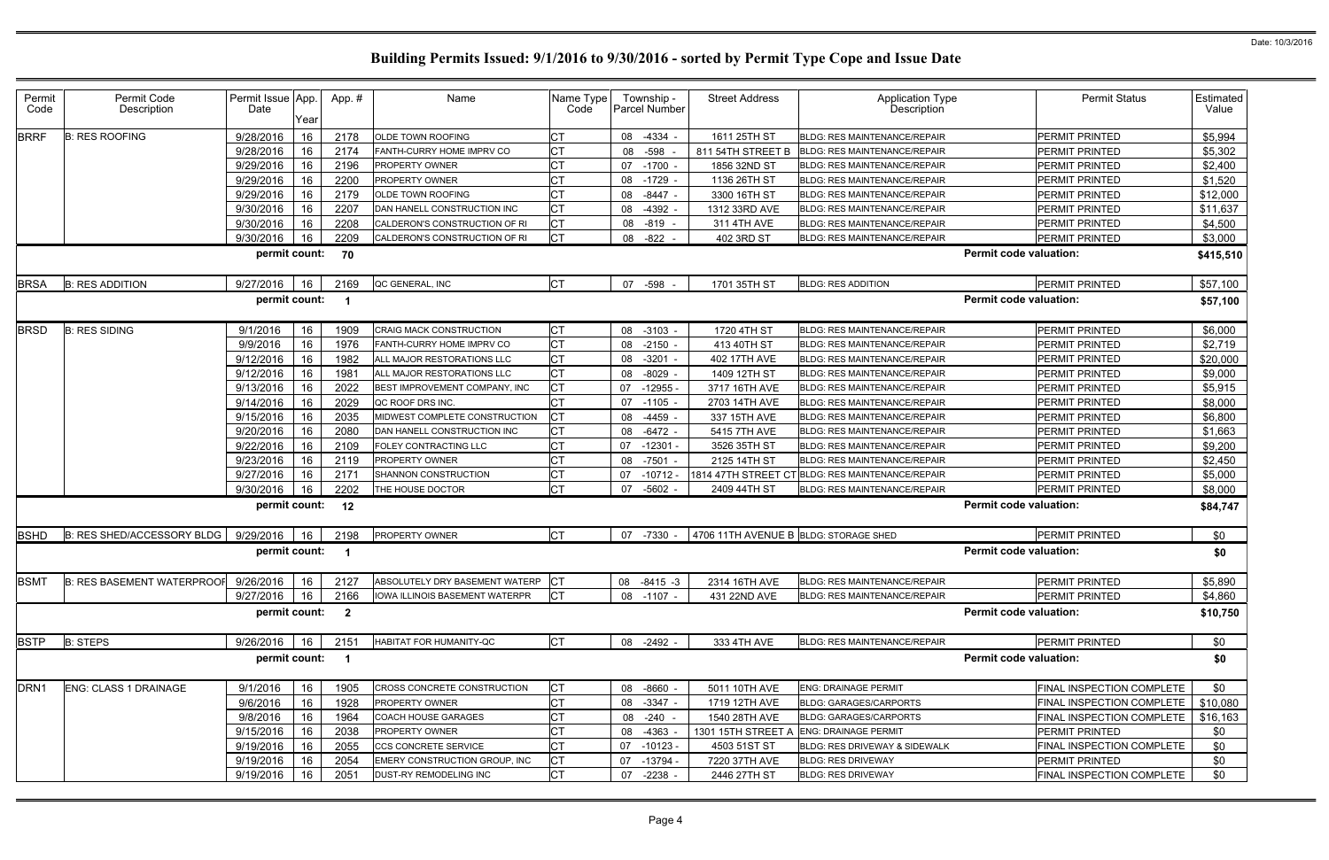| Permit<br>Code                                                    | Permit Code<br>Description             | Permit Issue App.<br>Date | Year | App.# | Name                              | Name Type<br>Code |    | Township -<br><b>Parcel Number</b> | <b>Street Address</b>                 | <b>Application Type</b><br>Description           |                               | <b>Permit Status</b>                 | Estimated<br>Value |
|-------------------------------------------------------------------|----------------------------------------|---------------------------|------|-------|-----------------------------------|-------------------|----|------------------------------------|---------------------------------------|--------------------------------------------------|-------------------------------|--------------------------------------|--------------------|
| <b>BRRF</b>                                                       | <b>B: RES ROOFING</b>                  | 9/28/2016                 | 16   | 2178  | OLDE TOWN ROOFING                 | <b>CT</b>         |    | 08 -4334                           | 1611 25TH ST                          | BLDG: RES MAINTENANCE/REPAIR                     |                               | PERMIT PRINTED                       | \$5,994            |
|                                                                   |                                        | 9/28/2016                 | 16   | 2174  | FANTH-CURRY HOME IMPRV CO         | СT                | 08 | $-598$                             | 811 54TH STREET B                     | <b>BLDG: RES MAINTENANCE/REPAIR</b>              |                               | <b>PERMIT PRINTED</b>                | \$5,302            |
|                                                                   |                                        | 9/29/2016                 | 16   | 2196  | PROPERTY OWNER                    | <b>CT</b>         |    | 07 -1700                           | 1856 32ND ST                          | <b>BLDG: RES MAINTENANCE/REPAIR</b>              |                               | <b>PERMIT PRINTED</b>                | \$2,400            |
|                                                                   |                                        | 9/29/2016                 | 16   | 2200  | PROPERTY OWNER                    | <b>CT</b>         |    | 08 -1729                           | 1136 26TH ST                          | <b>BLDG: RES MAINTENANCE/REPAIR</b>              |                               | <b>PERMIT PRINTED</b>                | \$1,520            |
|                                                                   |                                        | 9/29/2016                 | 16   | 2179  | OLDE TOWN ROOFING                 | СT                |    | 08 -8447                           | 3300 16TH ST                          | <b>BLDG: RES MAINTENANCE/REPAIR</b>              |                               | <b>PERMIT PRINTED</b>                | \$12,000           |
|                                                                   |                                        | 9/30/2016                 | 16   | 2207  | DAN HANELL CONSTRUCTION INC       | СT                |    | 08 -4392                           | 1312 33RD AVE                         | BLDG: RES MAINTENANCE/REPAIR                     |                               | <b>PERMIT PRINTED</b>                | \$11,637           |
|                                                                   |                                        | 9/30/2016                 | 16   | 2208  | CALDERON'S CONSTRUCTION OF RI     | <b>CT</b>         |    | 08 -819                            | 311 4TH AVE                           | <b>BLDG: RES MAINTENANCE/REPAIR</b>              |                               | <b>PERMIT PRINTED</b>                | \$4,500            |
|                                                                   |                                        | 9/30/2016                 | 16   | 2209  | CALDERON'S CONSTRUCTION OF RI     | <b>I</b> CT       |    | 08 -822 -                          | 402 3RD ST                            | <b>BLDG: RES MAINTENANCE/REPAIR</b>              |                               | <b>PERMIT PRINTED</b>                | \$3,000            |
| <b>Permit code valuation:</b><br>permit count:<br>70<br>\$415,510 |                                        |                           |      |       |                                   |                   |    |                                    |                                       |                                                  |                               |                                      |                    |
| <b>BRSA</b>                                                       | <b>B: RES ADDITION</b>                 | 9/27/2016                 | 16   | 2169  | QC GENERAL, INC                   | СT                |    | 07 -598                            | 1701 35TH ST                          | <b>BLDG: RES ADDITION</b>                        |                               | PERMIT PRINTED                       | \$57,100           |
|                                                                   |                                        | permit count:             |      |       |                                   |                   |    |                                    |                                       |                                                  | <b>Permit code valuation:</b> |                                      | \$57,100           |
| <b>BRSD</b>                                                       | <b>B: RES SIDING</b>                   | 9/1/2016                  | 16   | 1909  | CRAIG MACK CONSTRUCTION           | <b>CT</b>         |    | 08 -3103 -                         | 1720 4TH ST                           | <b>BLDG: RES MAINTENANCE/REPAIR</b>              |                               | <b>PERMIT PRINTED</b>                | \$6,000            |
|                                                                   |                                        | 9/9/2016                  | 16   | 1976  | FANTH-CURRY HOME IMPRV CO         | Iст               |    | 08 -2150                           | 413 40TH ST                           | <b>BLDG: RES MAINTENANCE/REPAIR</b>              |                               | <b>PERMIT PRINTED</b>                | \$2,719            |
|                                                                   |                                        | 9/12/2016                 | 16   | 1982  | ALL MAJOR RESTORATIONS LLC        | <b>CT</b>         |    | 08 -3201                           | 402 17TH AVE                          | <b>BLDG: RES MAINTENANCE/REPAIR</b>              |                               | <b>PERMIT PRINTED</b>                | \$20,000           |
|                                                                   |                                        | 9/12/2016                 | 16   | 1981  | ALL MAJOR RESTORATIONS LLC        | <b>CT</b>         |    | 08 -8029                           | 1409 12TH ST                          | BLDG: RES MAINTENANCE/REPAIR                     |                               | <b>PERMIT PRINTED</b>                | \$9,000            |
|                                                                   |                                        | 9/13/2016                 | 16   | 2022  | BEST IMPROVEMENT COMPANY, INC     | <b>CT</b>         |    | 07 -12955                          | 3717 16TH AVE                         | <b>BLDG: RES MAINTENANCE/REPAIR</b>              |                               | PERMIT PRINTED                       | \$5,915            |
|                                                                   |                                        | 9/14/2016                 | 16   | 2029  | QC ROOF DRS INC.                  | <b>CT</b>         |    | 07 -1105                           | 2703 14TH AVE                         | <b>BLDG: RES MAINTENANCE/REPAIR</b>              |                               | <b>PERMIT PRINTED</b>                | \$8,000            |
|                                                                   |                                        | 9/15/2016                 | 16   | 2035  | MIDWEST COMPLETE CONSTRUCTION     | <b>CT</b>         |    | 08 -4459                           | 337 15TH AVE                          | BLDG: RES MAINTENANCE/REPAIR                     |                               | PERMIT PRINTED                       | \$6,800            |
|                                                                   |                                        | 9/20/2016                 | 16   | 2080  | DAN HANELL CONSTRUCTION INC       | СT                |    | 08 - 6472 -                        | 5415 7TH AVE                          | BLDG: RES MAINTENANCE/REPAIR                     |                               | <b>PERMIT PRINTED</b>                | \$1,663            |
|                                                                   |                                        | 9/22/2016                 | 16   | 2109  | FOLEY CONTRACTING LLC             | СT                |    | 07 -12301                          | 3526 35TH ST                          | <b>BLDG: RES MAINTENANCE/REPAIR</b>              |                               | <b>PERMIT PRINTED</b>                | \$9,200            |
|                                                                   |                                        | 9/23/2016                 | 16   | 2119  | PROPERTY OWNER                    | <b>CT</b>         |    | 08 -7501                           | 2125 14TH ST                          | <b>BLDG: RES MAINTENANCE/REPAIR</b>              |                               | PERMIT PRINTED                       | \$2,450            |
|                                                                   |                                        | 9/27/2016                 | 16   | 2171  | SHANNON CONSTRUCTION              | СT                |    | 07 -10712                          |                                       | 1814 47TH STREET CT BLDG: RES MAINTENANCE/REPAIR |                               | <b>PERMIT PRINTED</b>                | \$5,000            |
|                                                                   |                                        | 9/30/2016                 | 16   | 2202  | THE HOUSE DOCTOR                  |                   |    | 07 -5602 -                         | 2409 44TH ST                          | <b>BLDG: RES MAINTENANCE/REPAIR</b>              |                               | PERMIT PRINTED                       | \$8,000            |
|                                                                   |                                        | permit count:             |      | 12    |                                   |                   |    |                                    |                                       |                                                  | <b>Permit code valuation:</b> |                                      | \$84,747           |
| <b>BSHD</b>                                                       | B: RES SHED/ACCESSORY BLDG   9/29/2016 |                           | 16   | 2198  | PROPERTY OWNER                    | IСТ               |    | 07 -7330                           | 4706 11TH AVENUE B BLDG: STORAGE SHED |                                                  |                               | PERMIT PRINTED                       | \$0                |
|                                                                   |                                        | permit count:             |      |       |                                   |                   |    |                                    |                                       |                                                  | <b>Permit code valuation:</b> |                                      | \$0                |
| <b>BSMT</b>                                                       | B: RES BASEMENT WATERPROOF 9/26/2016   |                           | 16   | 2127  | ABSOLUTELY DRY BASEMENT WATERP CT |                   |    | 08 -8415 -3                        | 2314 16TH AVE                         | BLDG: RES MAINTENANCE/REPAIR                     |                               | <b>PERMIT PRINTED</b>                | \$5,890            |
|                                                                   |                                        | 9/27/2016                 | 16   | 2166  | IOWA ILLINOIS BASEMENT WATERPR    | <b>ICT</b>        |    | 08 -1107 -                         | 431 22ND AVE                          | <b>BLDG: RES MAINTENANCE/REPAIR</b>              |                               | PERMIT PRINTED                       | \$4,860            |
|                                                                   |                                        | permit count: 2           |      |       |                                   |                   |    |                                    |                                       |                                                  | <b>Permit code valuation:</b> |                                      | \$10,750           |
| <b>BSTP</b>                                                       | <b>B: STEPS</b>                        | 9/26/2016                 | 16   | 2151  | HABITAT FOR HUMANITY-QC           | Iст               |    | 08 -2492 -                         | 333 4TH AVE                           | BLDG: RES MAINTENANCE/REPAIR                     |                               | PERMIT PRINTED                       | \$0                |
|                                                                   |                                        | permit count: 1           |      |       |                                   |                   |    |                                    |                                       |                                                  | <b>Permit code valuation:</b> |                                      | \$0                |
| DRN <sub>1</sub>                                                  | ENG: CLASS 1 DRAINAGE                  | 9/1/2016                  | 16   | 1905  | CROSS CONCRETE CONSTRUCTION       | <b>CT</b>         |    | 08 -8660                           | 5011 10TH AVE                         | <b>ENG: DRAINAGE PERMIT</b>                      |                               | FINAL INSPECTION COMPLETE            | \$0                |
|                                                                   |                                        | 9/6/2016                  | 16   | 1928  | PROPERTY OWNER                    | <b>CT</b>         |    | 08 -3347                           | 1719 12TH AVE                         | <b>BLDG: GARAGES/CARPORTS</b>                    |                               | FINAL INSPECTION COMPLETE   \$10,080 |                    |
|                                                                   |                                        | 9/8/2016                  | 16   | 1964  | COACH HOUSE GARAGES               | <b>CT</b>         |    | 08 -240                            | 1540 28TH AVE                         | <b>BLDG: GARAGES/CARPORTS</b>                    |                               | FINAL INSPECTION COMPLETE            | \$16,163           |
|                                                                   |                                        | 9/15/2016                 | 16   | 2038  | PROPERTY OWNER                    | СT                |    | 08 -4363                           | 1301 15TH STREET A                    | <b>ENG: DRAINAGE PERMIT</b>                      |                               | <b>PERMIT PRINTED</b>                | \$0                |
|                                                                   |                                        | 9/19/2016                 | 16   | 2055  | CCS CONCRETE SERVICE              |                   |    | 07 -10123                          | 4503 51ST ST                          | BLDG: RES DRIVEWAY & SIDEWALK                    |                               | FINAL INSPECTION COMPLETE            | \$0                |
|                                                                   |                                        | 9/19/2016                 | 16   | 2054  | EMERY CONSTRUCTION GROUP, INC     | <b>CT</b>         |    | 07 -13794                          | 7220 37TH AVE                         | <b>BLDG: RES DRIVEWAY</b>                        |                               | <b>PERMIT PRINTED</b>                | \$0                |
|                                                                   |                                        | 9/19/2016                 | 16   | 2051  | DUST-RY REMODELING INC            |                   |    | 07 -2238                           | 2446 27TH ST                          | <b>BLDG: RES DRIVEWAY</b>                        |                               | FINAL INSPECTION COMPLETE            | \$0                |
|                                                                   |                                        |                           |      |       |                                   |                   |    |                                    |                                       |                                                  |                               |                                      |                    |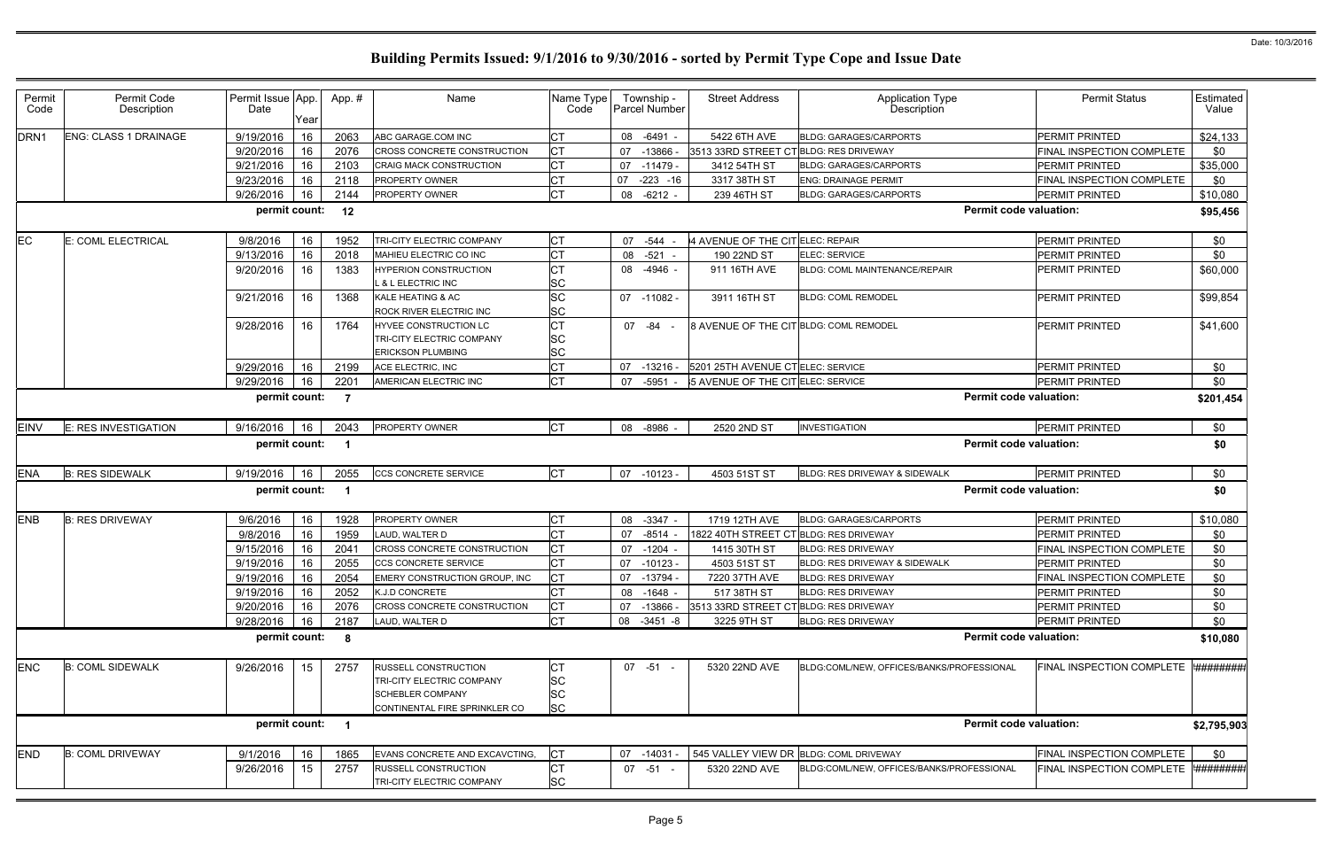|                                                            | <b>Permit Status</b>                                   | Estimated<br>Value                           |
|------------------------------------------------------------|--------------------------------------------------------|----------------------------------------------|
|                                                            | <b>PERMIT PRINTED</b>                                  | \$24,133                                     |
|                                                            | FINAL INSPECTION COMPLETE                              | \$0                                          |
|                                                            | PERMIT PRINTED                                         | \$35,000                                     |
|                                                            | FINAL INSPECTION COMPLETE                              | \$0                                          |
|                                                            | PERMIT PRINTED                                         | \$10,080                                     |
| rmit code valuation:                                       |                                                        | \$95,456                                     |
|                                                            | PERMIT PRINTED                                         | \$0                                          |
|                                                            | PERMIT PRINTED                                         | \$0                                          |
|                                                            | <b>PERMIT PRINTED</b>                                  | \$60,000                                     |
|                                                            | PERMIT PRINTED                                         | \$99,854                                     |
|                                                            | PERMIT PRINTED                                         | \$41,600                                     |
|                                                            | PERMIT PRINTED                                         | \$0                                          |
|                                                            | PERMIT PRINTED                                         | \$0                                          |
| rmit code valuation:                                       |                                                        | \$201,454                                    |
|                                                            | PERMIT PRINTED                                         | \$0                                          |
| rmit code valuation:                                       |                                                        | \$0                                          |
|                                                            | PERMIT PRINTED                                         | \$0                                          |
| rmit code valuation:                                       |                                                        | \$0                                          |
|                                                            |                                                        |                                              |
|                                                            | PERMIT PRINTED                                         | \$10,080                                     |
|                                                            | PERMIT PRINTED                                         | \$0                                          |
|                                                            | FINAL INSPECTION COMPLETE                              | \$0                                          |
|                                                            | PERMIT PRINTED                                         | \$0                                          |
|                                                            | FINAL INSPECTION COMPLETE                              | \$0                                          |
|                                                            | PERMIT PRINTED                                         | \$0                                          |
|                                                            | PERMIT PRINTED                                         | \$0                                          |
|                                                            | PERMIT PRINTED                                         | \$0                                          |
| rmit code valuation:                                       |                                                        | \$10,080                                     |
|                                                            | <b>FINAL INSPECTION COMPLETE</b>                       |                                              |
|                                                            |                                                        |                                              |
|                                                            |                                                        | '######## <sub>i</sub><br>\$2,795,903<br>\$0 |
| <b>ESSIONAL</b><br>rmit code valuation:<br><b>ESSIONAL</b> | FINAL INSPECTION COMPLETE<br>FINAL INSPECTION COMPLETE | '########;                                   |

| Permit           | Permit Code                  |                           |      |                |                                |                   |                                    |                                        |                                           | <b>Permit Status</b>                | Estimated         |
|------------------|------------------------------|---------------------------|------|----------------|--------------------------------|-------------------|------------------------------------|----------------------------------------|-------------------------------------------|-------------------------------------|-------------------|
| Code             | Description                  | Permit Issue App.<br>Date |      | App.#          | Name                           | Name Type<br>Code | Township -<br><b>Parcel Number</b> | <b>Street Address</b>                  | <b>Application Type</b><br>Description    |                                     | Value             |
|                  |                              |                           | Year |                |                                |                   |                                    |                                        |                                           |                                     |                   |
| DRN <sub>1</sub> | <b>ENG: CLASS 1 DRAINAGE</b> | 9/19/2016                 | 16   | 2063           | ABC GARAGE.COM INC             | СT                | 08 -6491                           | 5422 6TH AVE                           | <b>BLDG: GARAGES/CARPORTS</b>             | PERMIT PRINTED                      | \$24,133          |
|                  |                              | 9/20/2016                 | 16   | 2076           | CROSS CONCRETE CONSTRUCTION    | СT                | -13866<br>07                       | 3513 33RD STREET CT BLDG: RES DRIVEWAY |                                           | FINAL INSPECTION COMPLETE           | \$0               |
|                  |                              | 9/21/2016                 | 16   | 2103           | <b>CRAIG MACK CONSTRUCTION</b> | <b>CT</b>         | 07 -11479                          | 3412 54TH ST                           | <b>BLDG: GARAGES/CARPORTS</b>             | PERMIT PRINTED                      | \$35,000          |
|                  |                              | 9/23/2016                 | 16   | 2118           | PROPERTY OWNER                 | <b>CT</b>         | 07<br>$-223 - 16$                  | 3317 38TH ST                           | <b>ENG: DRAINAGE PERMIT</b>               | FINAL INSPECTION COMPLETE           | \$0               |
|                  |                              | 9/26/2016                 | 16   | 2144           | PROPERTY OWNER                 | Iст               | 08<br>-6212 -                      | 239 46TH ST                            | <b>BLDG: GARAGES/CARPORTS</b>             | PERMIT PRINTED                      | \$10,080          |
|                  |                              | permit count:             |      | 12             |                                |                   |                                    |                                        | <b>Permit code valuation:</b>             |                                     | \$95,456          |
| <b>EC</b>        | E: COML ELECTRICAL           | 9/8/2016                  | 16   | 1952           | TRI-CITY ELECTRIC COMPANY      | IСТ               | 07 -544                            | 4 AVENUE OF THE CIT ELEC: REPAIR       |                                           | PERMIT PRINTED                      | \$0               |
|                  |                              | 9/13/2016                 | 16   | 2018           | MAHIEU ELECTRIC CO INC         | <b>CT</b>         | $-521 -$<br>08                     | 190 22ND ST                            | <b>ELEC: SERVICE</b>                      | PERMIT PRINTED                      | \$0               |
|                  |                              | 9/20/2016                 | 16   | 1383           | <b>HYPERION CONSTRUCTION</b>   | <b>CT</b>         | 08<br>-4946 -                      | 911 16TH AVE                           | <b>BLDG: COML MAINTENANCE/REPAIR</b>      | PERMIT PRINTED                      | \$60,000          |
|                  |                              |                           |      |                | . & L ELECTRIC INC             | <b>SC</b>         |                                    |                                        |                                           |                                     |                   |
|                  |                              | 9/21/2016                 | 16   | 1368           | <b>KALE HEATING &amp; AC</b>   | <b>SC</b>         | 07 -11082 -                        | 3911 16TH ST                           | <b>BLDG: COML REMODEL</b>                 | <b>PERMIT PRINTED</b>               | \$99,854          |
|                  |                              |                           |      |                | ROCK RIVER ELECTRIC INC        | <b>SC</b>         |                                    |                                        |                                           |                                     |                   |
|                  |                              | 9/28/2016                 | 16   | 1764           | HYVEE CONSTRUCTION LC          | <b>CT</b>         | 07 - 84 -                          | 8 AVENUE OF THE CIT BLDG: COML REMODEL |                                           | <b>PERMIT PRINTED</b>               | \$41,600          |
|                  |                              |                           |      |                | TRI-CITY ELECTRIC COMPANY      | <b>SC</b>         |                                    |                                        |                                           |                                     |                   |
|                  |                              |                           |      |                | ERICKSON PLUMBING              | <b>SC</b>         |                                    |                                        |                                           |                                     |                   |
|                  |                              | 9/29/2016                 | 16   | 2199           | ACE ELECTRIC, INC              | <b>CT</b>         | 07<br>-13216 -                     | 5201 25TH AVENUE CTELEC: SERVICE       |                                           | PERMIT PRINTED                      | \$0               |
|                  |                              | 9/29/2016                 | 16   | 2201           | AMERICAN ELECTRIC INC          | <b>CT</b>         | 07 -5951                           | 5 AVENUE OF THE CIT ELEC: SERVICE      |                                           | <b>PERMIT PRINTED</b>               | \$0               |
|                  |                              | permit count:             |      | $\overline{7}$ |                                |                   |                                    |                                        | <b>Permit code valuation:</b>             |                                     | \$201,454         |
| <b>EINV</b>      | E: RES INVESTIGATION         | 9/16/2016                 | 16   | 2043           | PROPERTY OWNER                 | <b>ICT</b>        | 08 -8986                           | 2520 2ND ST                            | <b>INVESTIGATION</b>                      | PERMIT PRINTED                      | \$0               |
|                  |                              | permit count:             |      |                |                                |                   |                                    |                                        | <b>Permit code valuation:</b>             |                                     | \$0               |
|                  |                              |                           |      |                |                                |                   |                                    |                                        |                                           |                                     |                   |
| <b>ENA</b>       | <b>B: RES SIDEWALK</b>       | 9/19/2016                 | 16   | 2055           | <b>CCS CONCRETE SERVICE</b>    | <b>ICT</b>        | 07 -10123 -                        | 4503 51ST ST                           | BLDG: RES DRIVEWAY & SIDEWALK             | <b>PERMIT PRINTED</b>               | \$0               |
|                  |                              | permit count:             |      |                |                                |                   |                                    |                                        | <b>Permit code valuation:</b>             |                                     | \$0               |
|                  |                              |                           |      |                |                                |                   |                                    |                                        |                                           |                                     |                   |
| <b>ENB</b>       | <b>B: RES DRIVEWAY</b>       | 9/6/2016                  | 16   | 1928           | PROPERTY OWNER                 | <b>CT</b>         | $-3347$<br>08                      | 1719 12TH AVE                          | <b>BLDG: GARAGES/CARPORTS</b>             | PERMIT PRINTED                      | \$10,080          |
|                  |                              | 9/8/2016                  | 16   | 1959           | LAUD, WALTER D                 | <b>CT</b>         | $-8514$<br>07                      | 1822 40TH STREET                       | CT BLDG: RES DRIVEWAY                     | PERMIT PRINTED                      | \$0               |
|                  |                              | 9/15/2016                 | 16   | 2041           | CROSS CONCRETE CONSTRUCTION    |                   | $-1204$<br>07                      | 1415 30TH ST                           | <b>BLDG: RES DRIVEWAY</b>                 | FINAL INSPECTION COMPLETE           | \$0               |
|                  |                              | 9/19/2016                 | 16   | 2055           | CCS CONCRETE SERVICE           | <b>CT</b>         | 07 -10123 -                        | 4503 51ST ST                           | BLDG: RES DRIVEWAY & SIDEWALK             | <b>PERMIT PRINTED</b>               | \$0               |
|                  |                              | 9/19/2016                 | 16   | 2054           | EMERY CONSTRUCTION GROUP, INC  | IСT               | 07 -13794                          | 7220 37TH AVE                          | <b>BLDG: RES DRIVEWAY</b>                 | FINAL INSPECTION COMPLETE           | \$0               |
|                  |                              | 9/19/2016                 | 16   | 2052           | <b>K.J.D CONCRETE</b>          |                   | 08 -1648                           | 517 38TH ST                            | <b>BLDG: RES DRIVEWAY</b>                 | PERMIT PRINTED                      | \$0               |
|                  |                              | 9/20/2016                 | 16   | 2076           | CROSS CONCRETE CONSTRUCTION    | <b>CT</b>         | -13866<br>07                       | 3513 33RD STREET CT BLDG: RES DRIVEWAY |                                           | PERMIT PRINTED                      | \$0               |
|                  |                              | 9/28/2016                 | 16   | 2187           | LAUD, WALTER D                 | <b>CT</b>         | 08 -3451 -8                        | 3225 9TH ST                            | <b>BLDG: RES DRIVEWAY</b>                 | PERMIT PRINTED                      | \$0               |
|                  |                              | permit count: 8           |      |                |                                |                   |                                    |                                        | <b>Permit code valuation:</b>             |                                     | \$10,080          |
|                  |                              |                           |      |                |                                |                   |                                    |                                        |                                           |                                     |                   |
| <b>ENC</b>       | <b>B: COML SIDEWALK</b>      | 9/26/2016                 | 15   | 2757           | <b>RUSSELL CONSTRUCTION</b>    | IСТ               | $07 - 51 -$                        | 5320 22ND AVE                          | BLDG:COML/NEW, OFFICES/BANKS/PROFESSIONAL | FINAL INSPECTION COMPLETE           | <b>*#########</b> |
|                  |                              |                           |      |                | TRI-CITY ELECTRIC COMPANY      | <b>SC</b>         |                                    |                                        |                                           |                                     |                   |
|                  |                              |                           |      |                | <b>SCHEBLER COMPANY</b>        | <b>SC</b>         |                                    |                                        |                                           |                                     |                   |
|                  |                              |                           |      |                | CONTINENTAL FIRE SPRINKLER CO  | <b>SC</b>         |                                    |                                        |                                           |                                     |                   |
|                  |                              | permit count: 1           |      |                |                                |                   |                                    |                                        | <b>Permit code valuation:</b>             |                                     | \$2,795,903       |
|                  |                              |                           |      |                |                                |                   |                                    |                                        |                                           |                                     |                   |
| <b>END</b>       | <b>B: COML DRIVEWAY</b>      | 9/1/2016                  | 16   | 1865           | EVANS CONCRETE AND EXCAVCTING, | IСТ               | 07 -14031                          |                                        | 545 VALLEY VIEW DR BLDG: COML DRIVEWAY    | FINAL INSPECTION COMPLETE           | \$0               |
|                  |                              | 9/26/2016                 | 15   | 2757           | <b>RUSSELL CONSTRUCTION</b>    | <b>CT</b>         | $07 - 51 -$                        | 5320 22ND AVE                          | BLDG:COML/NEW, OFFICES/BANKS/PROFESSIONAL | FINAL INSPECTION COMPLETE ######### |                   |
|                  |                              |                           |      |                | TRI-CITY ELECTRIC COMPANY      | <b>SC</b>         |                                    |                                        |                                           |                                     |                   |
|                  |                              |                           |      |                |                                |                   |                                    |                                        |                                           |                                     |                   |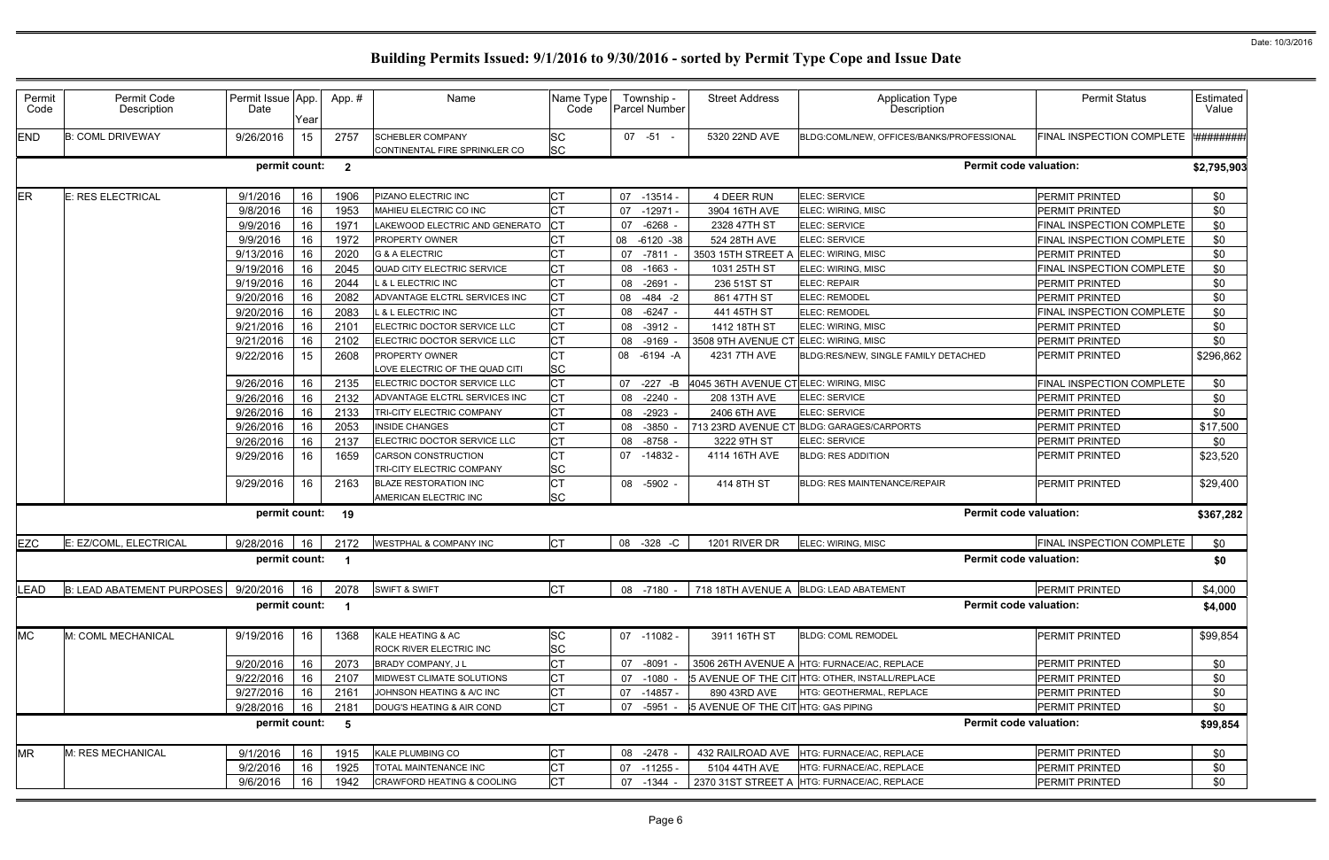| Permit<br>Code | Permit Code<br>Description             | Permit Issue App.<br>Date | Year | App.#                   | Name                                                     | Name Type<br>Code      |    | Township -<br><b>Parcel Number</b> | <b>Street Address</b>                 | <b>Application Type</b><br>Description          | <b>Permit Status</b>             | Estimated<br>Value |
|----------------|----------------------------------------|---------------------------|------|-------------------------|----------------------------------------------------------|------------------------|----|------------------------------------|---------------------------------------|-------------------------------------------------|----------------------------------|--------------------|
| <b>END</b>     | <b>B: COML DRIVEWAY</b>                | 9/26/2016                 | 15   | 2757                    | <b>SCHEBLER COMPANY</b><br>CONTINENTAL FIRE SPRINKLER CO | <b>SC</b><br><b>SC</b> |    | $07 - 51 -$                        | 5320 22ND AVE                         | BLDG:COML/NEW, OFFICES/BANKS/PROFESSIONAL       | FINAL INSPECTION COMPLETE        | <b>*##########</b> |
|                |                                        | permit count:             |      | $\overline{\mathbf{2}}$ |                                                          |                        |    |                                    |                                       | <b>Permit code valuation:</b>                   |                                  | \$2,795,903        |
| ER             | E: RES ELECTRICAL                      | 9/1/2016                  | 16   | 1906                    | PIZANO ELECTRIC INC                                      | <b>CT</b>              |    | 07 -13514 -                        | 4 DEER RUN                            | ELEC: SERVICE                                   | PERMIT PRINTED                   | \$0                |
|                |                                        | 9/8/2016                  | 16   | 1953                    | MAHIEU ELECTRIC CO INC                                   |                        | 07 | $-12971$                           | 3904 16TH AVE                         | ELEC: WIRING, MISC                              | PERMIT PRINTED                   | \$0                |
|                |                                        | 9/9/2016                  | 16   | 1971                    | LAKEWOOD ELECTRIC AND GENERATO                           |                        | 07 | $-6268$                            | 2328 47TH ST                          | ELEC: SERVICE                                   | FINAL INSPECTION COMPLETE        | \$0                |
|                |                                        | 9/9/2016                  | 16   | 1972                    | <b>PROPERTY OWNER</b>                                    | <b>CT</b>              | 08 | $-6120 -38$                        | 524 28TH AVE                          | ELEC: SERVICE                                   | FINAL INSPECTION COMPLETE        | \$0                |
|                |                                        | 9/13/2016                 | 16   | 2020                    | <b>G &amp; A ELECTRIC</b>                                | Iст                    | 07 | -7811                              | 3503 15TH STREET A                    | <b>ELEC: WIRING, MISC</b>                       | PERMIT PRINTED                   | \$0                |
|                |                                        | 9/19/2016                 | 16   | 2045                    | QUAD CITY ELECTRIC SERVICE                               | Iст                    | 08 | $-1663$                            | 1031 25TH ST                          | ELEC: WIRING, MISC                              | <b>FINAL INSPECTION COMPLETE</b> | \$0                |
|                |                                        | 9/19/2016                 | 16   | 2044                    | L & L ELECTRIC INC                                       | <b>CT</b>              | 08 | $-2691$                            | 236 51ST ST                           | <b>ELEC: REPAIR</b>                             | <b>PERMIT PRINTED</b>            | \$0                |
|                |                                        | 9/20/2016                 | 16   | 2082                    | ADVANTAGE ELCTRL SERVICES INC                            | <b>CT</b>              |    | 08 -484 -2                         | 861 47TH ST                           | ELEC: REMODEL                                   | <b>PERMIT PRINTED</b>            | \$0                |
|                |                                        | 9/20/2016                 | 16   | 2083                    | L & L ELECTRIC INC                                       |                        | 08 | $-6247 -$                          | 441 45TH ST                           | ELEC: REMODEL                                   | <b>FINAL INSPECTION COMPLETE</b> | \$0                |
|                |                                        | 9/21/2016                 | 16   | 2101                    | ELECTRIC DOCTOR SERVICE LLC                              | <b>CT</b>              |    | 08 -3912 -                         | 1412 18TH ST                          | ELEC: WIRING, MISC                              | <b>PERMIT PRINTED</b>            | \$0                |
|                |                                        | 9/21/2016                 | 16   | 2102                    | ELECTRIC DOCTOR SERVICE LLC                              | <b>CT</b>              | 08 | $-9169$                            | 3508 9TH AVENUE CT                    | ELEC: WIRING, MISC                              | <b>PERMIT PRINTED</b>            | \$0                |
|                |                                        | 9/22/2016                 | 15   | 2608                    | <b>PROPERTY OWNER</b><br>LOVE ELECTRIC OF THE QUAD CITI  | IСТ<br><b>SC</b>       |    | 08 -6194 -A                        | 4231 7TH AVE                          | BLDG:RES/NEW, SINGLE FAMILY DETACHED            | PERMIT PRINTED                   | \$296,862          |
|                |                                        | 9/26/2016                 | 16   | 2135                    | ELECTRIC DOCTOR SERVICE LLC                              | <b>CT</b>              |    | 07 -227 -B                         | 4045 36TH AVENUE CTELEC: WIRING, MISC |                                                 | FINAL INSPECTION COMPLETE        | \$0                |
|                |                                        | 9/26/2016                 | 16   | 2132                    | ADVANTAGE ELCTRL SERVICES INC                            | IСТ                    | 08 | $-2240$                            | 208 13TH AVE                          | <b>ELEC: SERVICE</b>                            | PERMIT PRINTED                   | \$0                |
|                |                                        | 9/26/2016                 | 16   | 2133                    | TRI-CITY ELECTRIC COMPANY                                | <b>CT</b>              | 08 | $-2923$                            | 2406 6TH AVE                          | ELEC: SERVICE                                   | PERMIT PRINTED                   | \$0                |
|                |                                        | 9/26/2016                 | 16   | 2053                    | <b>INSIDE CHANGES</b>                                    | <b>CT</b>              | 08 | -3850                              |                                       | 713 23RD AVENUE CT BLDG: GARAGES/CARPORTS       | <b>PERMIT PRINTED</b>            | \$17,500           |
|                |                                        | 9/26/2016                 | 16   | 2137                    | ELECTRIC DOCTOR SERVICE LLC                              | <b>CT</b>              |    | 08 -8758                           | 3222 9TH ST                           | ELEC: SERVICE                                   | PERMIT PRINTED                   | \$0                |
|                |                                        | 9/29/2016                 | 16   | 1659                    | <b>CARSON CONSTRUCTION</b><br>TRI-CITY ELECTRIC COMPANY  | <b>CT</b><br><b>SC</b> |    | $07 - 14832$                       | 4114 16TH AVE                         | <b>BLDG: RES ADDITION</b>                       | <b>PERMIT PRINTED</b>            | \$23,520           |
|                |                                        | 9/29/2016                 | 16   | 2163                    | <b>BLAZE RESTORATION INC</b>                             | <b>CT</b>              |    | 08 -5902                           | 414 8TH ST                            | <b>BLDG: RES MAINTENANCE/REPAIR</b>             | <b>PERMIT PRINTED</b>            | \$29,400           |
|                |                                        | permit count: 19          |      |                         | AMERICAN ELECTRIC INC                                    | <b>SC</b>              |    |                                    |                                       | <b>Permit code valuation:</b>                   |                                  | \$367,282          |
|                |                                        |                           |      |                         |                                                          |                        |    |                                    |                                       |                                                 |                                  |                    |
| <b>EZC</b>     | E: EZ/COML, ELECTRICAL                 | 9/28/2016                 | 16   | 2172                    | <b>WESTPHAL &amp; COMPANY INC</b>                        | IСТ                    |    | 08 -328 -C                         | 1201 RIVER DR                         | ELEC: WIRING, MISC                              | FINAL INSPECTION COMPLETE        | \$0                |
|                |                                        | permit count:             |      | - 1                     |                                                          |                        |    |                                    |                                       | <b>Permit code valuation:</b>                   |                                  | \$0                |
| LEAD           | B: LEAD ABATEMENT PURPOSES   9/20/2016 |                           | 16   | 2078                    | <b>SWIFT &amp; SWIFT</b>                                 | <b>CT</b>              |    | 08 -7180 -                         |                                       | 718 18TH AVENUE A BLDG: LEAD ABATEMENT          | PERMIT PRINTED                   | \$4,000            |
|                |                                        | permit count: 1           |      |                         |                                                          |                        |    |                                    |                                       | <b>Permit code valuation:</b>                   |                                  | \$4,000            |
| <b>MC</b>      | M: COML MECHANICAL                     | 9/19/2016                 | 16   | 1368                    | KALE HEATING & AC<br>ROCK RIVER ELECTRIC INC             | <b>SC</b><br><b>SC</b> |    | 07 -11082 -                        | 3911 16TH ST                          | <b>BLDG: COML REMODEL</b>                       | <b>PERMIT PRINTED</b>            | \$99,854           |
|                |                                        | 9/20/2016                 | 16   | 2073                    | BRADY COMPANY, J L                                       | <b>CT</b>              |    | 07 -8091                           |                                       | 3506 26TH AVENUE A HTG: FURNACE/AC, REPLACE     | PERMIT PRINTED                   | \$0                |
|                |                                        | 9/22/2016                 | 16   | 2107                    | MIDWEST CLIMATE SOLUTIONS                                | IСТ                    |    | 07 -1080                           |                                       | 5 AVENUE OF THE CIT HTG: OTHER, INSTALL/REPLACE | <b>PERMIT PRINTED</b>            | \$0                |
|                |                                        | 9/27/2016                 | 16   | 2161                    | JOHNSON HEATING & A/C INC                                | IСТ                    |    | 07 -14857 -                        | 890 43RD AVE                          | HTG: GEOTHERMAL, REPLACE                        | PERMIT PRINTED                   | \$0                |
|                |                                        | 9/28/2016                 | 16   | 2181                    | DOUG'S HEATING & AIR COND                                | IСТ                    |    | 07 -5951                           | 5 AVENUE OF THE CIT HTG: GAS PIPING   |                                                 | PERMIT PRINTED                   | \$0                |
|                |                                        | permit count:             |      | $-5$                    |                                                          |                        |    |                                    |                                       | <b>Permit code valuation:</b>                   |                                  | \$99,854           |
| <b>MR</b>      | M: RES MECHANICAL                      | 9/1/2016                  | 16   | 1915                    | <b>KALE PLUMBING CO</b>                                  | IСТ                    |    | 08 -2478                           | 432 RAILROAD AVE                      | HTG: FURNACE/AC, REPLACE                        | <b>PERMIT PRINTED</b>            | \$0                |
|                |                                        | 9/2/2016                  | 16   | 1925                    | TOTAL MAINTENANCE INC                                    | СT                     |    | $07 - 11255$                       | 5104 44TH AVE                         | HTG: FURNACE/AC, REPLACE                        | PERMIT PRINTED                   | \$0                |
|                |                                        | 9/6/2016                  | 16   | 1942                    | CRAWFORD HEATING & COOLING                               | IСT                    |    | 07 -1344                           |                                       | 2370 31ST STREET A HTG: FURNACE/AC, REPLACE     | PERMIT PRINTED                   | \$0                |
|                |                                        |                           |      |                         |                                                          |                        |    |                                    |                                       |                                                 |                                  |                    |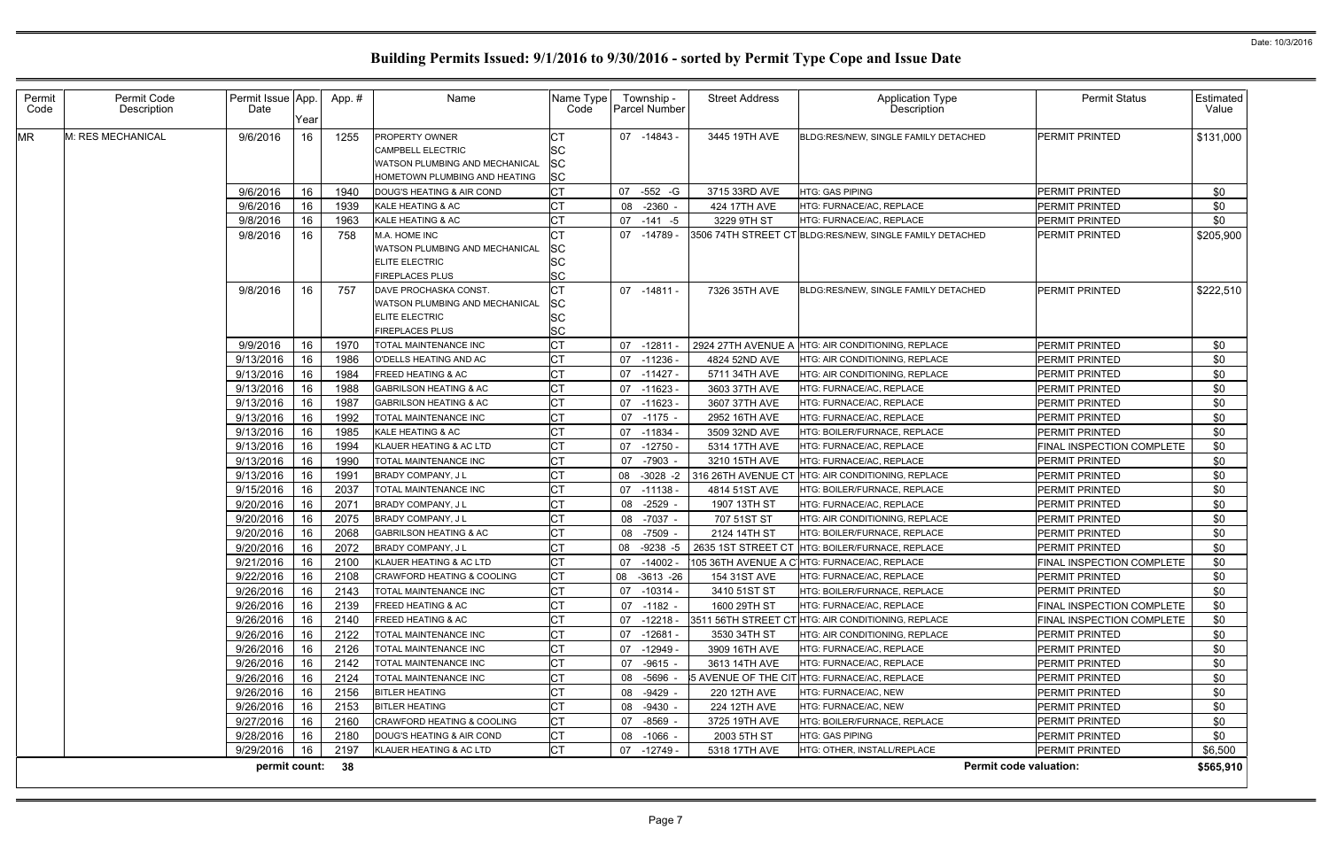| Permit<br>Code | Permit Code<br>Description | Permit Issue App.<br>Date | Year     | App.#        | Name                                                                         | Name Type<br>Code          | Township -<br>Parcel Number | <b>Street Address</b>        | <b>Application Type</b><br><b>Description</b>            | <b>Permit Status</b>                               | Estimated<br>Value |
|----------------|----------------------------|---------------------------|----------|--------------|------------------------------------------------------------------------------|----------------------------|-----------------------------|------------------------------|----------------------------------------------------------|----------------------------------------------------|--------------------|
| MR             | M: RES MECHANICAL          | 9/6/2016                  | 16       | 1255         | PROPERTY OWNER<br><b>CAMPBELL ELECTRIC</b><br>WATSON PLUMBING AND MECHANICAL | SC<br>SC                   | 07 -14843 -                 | 3445 19TH AVE                | BLDG:RES/NEW, SINGLE FAMILY DETACHED                     | <b>PERMIT PRINTED</b>                              | \$131,000          |
|                |                            |                           |          |              | HOMETOWN PLUMBING AND HEATING                                                | <b>SC</b>                  |                             |                              |                                                          |                                                    |                    |
|                |                            | 9/6/2016                  | 16       | 1940         | DOUG'S HEATING & AIR COND                                                    | <b>CT</b>                  | -552 -G<br>07               | 3715 33RD AVE                | HTG: GAS PIPING                                          | PERMIT PRINTED                                     | \$0                |
|                |                            | 9/6/2016<br>9/8/2016      | 16<br>16 | 1939<br>1963 | KALE HEATING & AC<br>KALE HEATING & AC                                       | <b>CT</b><br><b>CT</b>     | 08<br>-2360 -<br>07 -141 -5 | 424 17TH AVE<br>3229 9TH ST  | HTG: FURNACE/AC, REPLACE<br>HTG: FURNACE/AC, REPLACE     | <b>PERMIT PRINTED</b><br>PERMIT PRINTED            | \$0                |
|                |                            | 9/8/2016                  | 16       | 758          | M.A. HOME INC                                                                |                            | 07 -14789 -                 |                              | 3506 74TH STREET CT BLDG:RES/NEW, SINGLE FAMILY DETACHED | <b>PERMIT PRINTED</b>                              | \$0<br>\$205,900   |
|                |                            |                           |          |              | WATSON PLUMBING AND MECHANICAL                                               | lSС                        |                             |                              |                                                          |                                                    |                    |
|                |                            |                           |          |              | <b>ELITE ELECTRIC</b>                                                        | <b>SC</b>                  |                             |                              |                                                          |                                                    |                    |
|                |                            |                           |          |              | <b>FIREPLACES PLUS</b>                                                       | <b>SC</b>                  |                             |                              |                                                          |                                                    |                    |
|                |                            | 9/8/2016                  | 16       | 757          | DAVE PROCHASKA CONST.                                                        | <b>CT</b>                  | 07 -14811 -                 | 7326 35TH AVE                | BLDG:RES/NEW, SINGLE FAMILY DETACHED                     | <b>PERMIT PRINTED</b>                              | \$222,510          |
|                |                            |                           |          |              | WATSON PLUMBING AND MECHANICAL                                               | SС                         |                             |                              |                                                          |                                                    |                    |
|                |                            |                           |          |              | <b>ELITE ELECTRIC</b>                                                        | <b>SC</b>                  |                             |                              |                                                          |                                                    |                    |
|                |                            |                           |          |              | <b>FIREPLACES PLUS</b>                                                       | SC                         |                             |                              |                                                          |                                                    |                    |
|                |                            | 9/9/2016                  | 16       | 1970         | TOTAL MAINTENANCE INC                                                        | <b>CT</b>                  | 07 -12811                   |                              | 2924 27TH AVENUE A HTG: AIR CONDITIONING, REPLACE        | <b>PERMIT PRINTED</b>                              | \$0                |
|                |                            | 9/13/2016                 | 16       | 1986         | O'DELLS HEATING AND AC                                                       | <b>CT</b>                  | 07 -11236                   | 4824 52ND AVE                | HTG: AIR CONDITIONING, REPLACE                           | PERMIT PRINTED                                     | \$0                |
|                |                            | 9/13/2016                 | 16       | 1984         | <b>FREED HEATING &amp; AC</b>                                                | <b>CT</b>                  | $07 - 11427$                | 5711 34TH AVE                | HTG: AIR CONDITIONING, REPLACE                           | PERMIT PRINTED                                     | \$0                |
|                |                            | 9/13/2016                 | 16       | 1988         | <b>GABRILSON HEATING &amp; AC</b>                                            | <b>CT</b>                  | 07 -11623 -                 | 3603 37TH AVE                | HTG: FURNACE/AC, REPLACE                                 | <b>PERMIT PRINTED</b>                              | \$0                |
|                |                            | 9/13/2016                 | 16       | 1987         | <b>GABRILSON HEATING &amp; AC</b>                                            | <b>CT</b>                  | 07 -11623 -                 | 3607 37TH AVE                | HTG: FURNACE/AC, REPLACE                                 | PERMIT PRINTED                                     | \$0                |
|                |                            | 9/13/2016                 | 16       | 1992         | TOTAL MAINTENANCE INC                                                        | <b>CT</b>                  | 07 -1175                    | 2952 16TH AVE                | HTG: FURNACE/AC, REPLACE                                 | <b>PERMIT PRINTED</b>                              | \$0                |
|                |                            | 9/13/2016                 | 16       | 1985         | KALE HEATING & AC                                                            | <b>CT</b>                  | 07 -11834                   | 3509 32ND AVE                | HTG: BOILER/FURNACE, REPLACE                             | PERMIT PRINTED                                     | \$0                |
|                |                            | 9/13/2016                 | 16       | 1994         | KLAUER HEATING & AC LTD                                                      | IСТ                        | $-12750$<br>07              | 5314 17TH AVE                | HTG: FURNACE/AC, REPLACE                                 | FINAL INSPECTION COMPLETE                          | \$0                |
|                |                            | 9/13/2016                 | 16       | 1990         | TOTAL MAINTENANCE INC                                                        | <b>CT</b>                  | 07 -7903                    | 3210 15TH AVE                | HTG: FURNACE/AC, REPLACE                                 | PERMIT PRINTED                                     | \$0                |
|                |                            | 9/13/2016                 | 16       | 1991         | BRADY COMPANY, J L                                                           | <b>CT</b>                  | 08 -3028 -2                 | 316 26TH AVENUE CT           | HTG: AIR CONDITIONING, REPLACE                           | PERMIT PRINTED                                     | \$0                |
|                |                            | 9/15/2016                 | 16       | 2037         | TOTAL MAINTENANCE INC                                                        | СT                         | 07 -11138                   | 4814 51ST AVE                | HTG: BOILER/FURNACE, REPLACE                             | PERMIT PRINTED                                     | \$0                |
|                |                            | 9/20/2016                 | 16       | 2071         | BRADY COMPANY, J L                                                           | <b>CT</b>                  | $-2529$<br>08               | 1907 13TH ST                 | HTG: FURNACE/AC, REPLACE                                 | PERMIT PRINTED                                     | \$0                |
|                |                            | 9/20/2016                 | 16       | 2075         | BRADY COMPANY, J L                                                           | <b>CT</b>                  | 08 -7037 -                  | 707 51ST ST                  | HTG: AIR CONDITIONING, REPLACE                           | <b>PERMIT PRINTED</b>                              | \$0                |
|                |                            | 9/20/2016                 | 16       | 2068         | <b>GABRILSON HEATING &amp; AC</b>                                            | <b>CT</b>                  | 08 -7509                    | 2124 14TH ST                 | HTG: BOILER/FURNACE, REPLACE                             | PERMIT PRINTED                                     | \$0                |
|                |                            | 9/20/2016                 | 16       | 2072         | <b>BRADY COMPANY, JL</b>                                                     | <b>CT</b>                  | 08<br>-9238 -5              | 2635 1ST STREET CT           | HTG: BOILER/FURNACE, REPLACE                             | <b>PERMIT PRINTED</b>                              | \$0                |
|                |                            | 9/21/2016                 | 16       | 2100<br>2108 | KLAUER HEATING & AC LTD                                                      | <b>CT</b><br>$\sim$ $\sim$ | -14002 -<br>07              |                              | 105 36TH AVENUE A C'HTG: FURNACE/AC, REPLACE             | FINAL INSPECTION COMPLETE                          | \$0                |
|                |                            | $9/22/2016$ 16            |          |              | <b>ICRAWFORD HEATING &amp; COOLING</b>                                       | ĮСТ<br><b>CT</b>           | 08 -3613 -26                | 154 31ST AVE                 | <b>HTG: FURNACE/AC, REPLACE</b>                          | PERMIT PRINTED                                     | \$0                |
|                |                            | 9/26/2016<br>9/26/2016    | 16<br>16 | 2143<br>2139 | TOTAL MAINTENANCE INC<br><b>FREED HEATING &amp; AC</b>                       | <b>CT</b>                  | 07 -10314 -<br>07 -1182 -   | 3410 51ST ST<br>1600 29TH ST | HTG: BOILER/FURNACE, REPLACE<br>HTG: FURNACE/AC, REPLACE | <b>PERMIT PRINTED</b><br>FINAL INSPECTION COMPLETE | \$0                |
|                |                            | 9/26/2016                 |          | 2140         | <b>FREED HEATING &amp; AC</b>                                                | СT                         | $07 - 12218$                |                              | 3511 56TH STREET CT HTG: AIR CONDITIONING, REPLACE       | <b>FINAL INSPECTION COMPLETE</b>                   | \$0<br>\$0         |
|                |                            | 9/26/2016                 | 16<br>16 | 2122         | TOTAL MAINTENANCE INC                                                        | <b>CT</b>                  | $07 - 12681$                | 3530 34TH ST                 | HTG: AIR CONDITIONING, REPLACE                           | PERMIT PRINTED                                     | \$0                |
|                |                            | 9/26/2016                 | 16       | 2126         | TOTAL MAINTENANCE INC                                                        | <b>CT</b>                  | 07 -12949 -                 | 3909 16TH AVE                | HTG: FURNACE/AC, REPLACE                                 | PERMIT PRINTED                                     | \$0                |
|                |                            | 9/26/2016                 | 16       | 2142         | TOTAL MAINTENANCE INC                                                        | <b>CT</b>                  | 07 -9615 -                  | 3613 14TH AVE                | HTG: FURNACE/AC, REPLACE                                 | PERMIT PRINTED                                     | \$0                |
|                |                            | 9/26/2016                 | 16       | 2124         | TOTAL MAINTENANCE INC                                                        | <b>CT</b>                  | 08 -5696 -                  |                              | 5 AVENUE OF THE CIT HTG: FURNACE/AC, REPLACE             | PERMIT PRINTED                                     | \$0                |
|                |                            | 9/26/2016                 | 16       | 2156         | <b>BITLER HEATING</b>                                                        | <b>CT</b>                  | 08 -9429                    | 220 12TH AVE                 | HTG: FURNACE/AC, NEW                                     | PERMIT PRINTED                                     | \$0                |
|                |                            | 9/26/2016                 | 16       | 2153         | <b>BITLER HEATING</b>                                                        | <b>CT</b>                  | 08 -9430 -                  | 224 12TH AVE                 | HTG: FURNACE/AC, NEW                                     | <b>PERMIT PRINTED</b>                              | \$0                |
|                |                            | 9/27/2016                 | 16       | 2160         | <b>CRAWFORD HEATING &amp; COOLING</b>                                        | <b>CT</b>                  | 07 -8569                    | 3725 19TH AVE                | HTG: BOILER/FURNACE, REPLACE                             | <b>PERMIT PRINTED</b>                              | \$0                |
|                |                            | 9/28/2016                 | 16       | 2180         | DOUG'S HEATING & AIR COND                                                    | <b>CT</b>                  | 08 -1066 -                  | 2003 5TH ST                  | <b>HTG: GAS PIPING</b>                                   | <b>PERMIT PRINTED</b>                              | \$0                |
|                |                            | 9/29/2016                 | 16       | 2197         | KLAUER HEATING & AC LTD                                                      | <b>CT</b>                  | 07 -12749 -                 | 5318 17TH AVE                | HTG: OTHER, INSTALL/REPLACE                              | <b>PERMIT PRINTED</b>                              | \$6,500            |
|                |                            | permit count: 38          |          |              |                                                                              |                            |                             |                              |                                                          | <b>Permit code valuation:</b>                      | \$565,910          |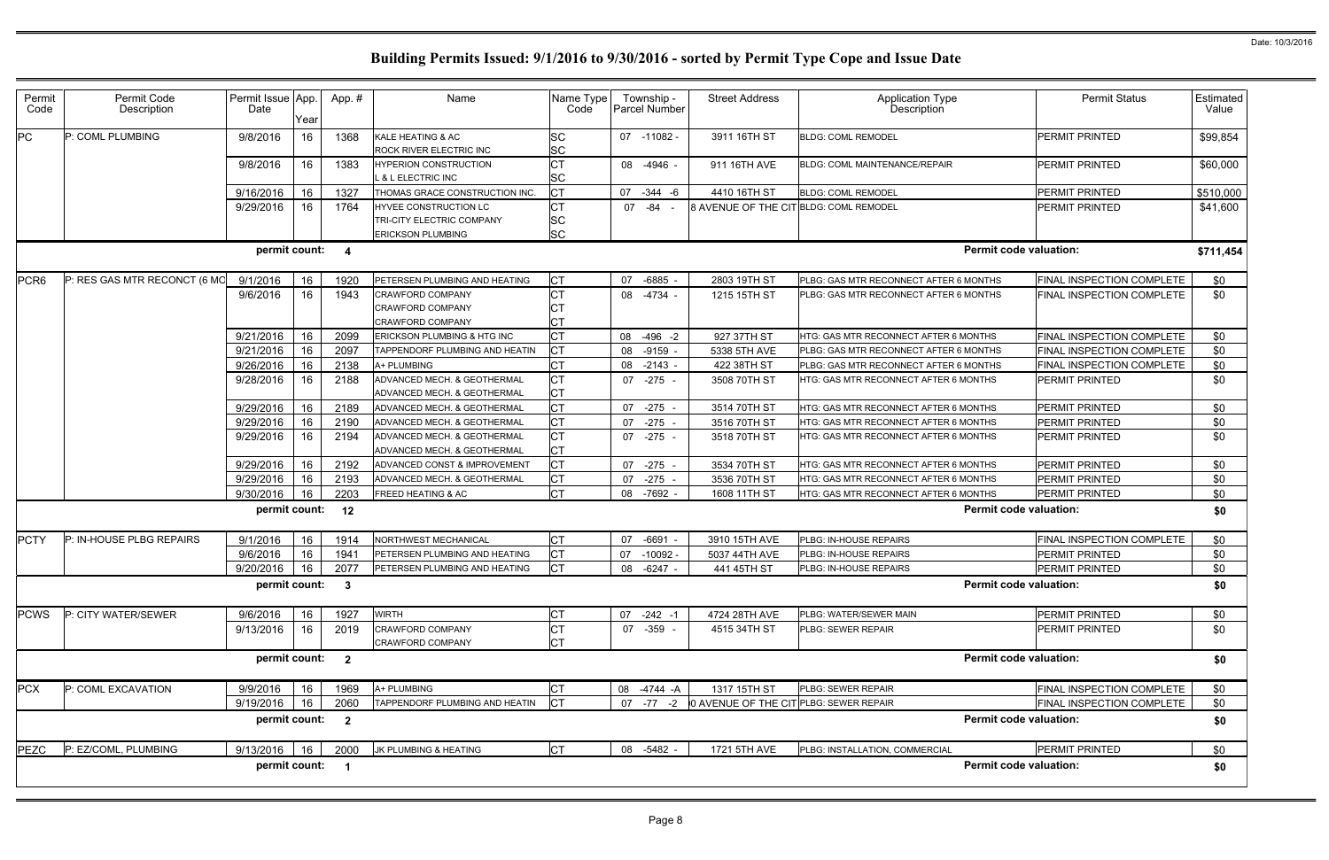|                      | <b>Permit Status</b>             | Estimated<br>Value |
|----------------------|----------------------------------|--------------------|
|                      | <b>PERMIT PRINTED</b>            | \$99,854           |
|                      | <b>PERMIT PRINTED</b>            | \$60,000           |
|                      | PERMIT PRINTED                   | \$510,000          |
|                      | PERMIT PRINTED                   | \$41,600           |
| rmit code valuation: |                                  | \$711,454          |
| <b>NTHS</b>          | <b>FINAL INSPECTION COMPLETE</b> | \$0                |
| <b>NTHS</b>          | FINAL INSPECTION COMPLETE        | \$0                |
| <b>ITHS</b>          | <b>FINAL INSPECTION COMPLETE</b> | \$0                |
| <b>NTHS</b>          | FINAL INSPECTION COMPLETE        | \$0                |
| <b>NTHS</b>          | <b>FINAL INSPECTION COMPLETE</b> | \$0                |
| ITHS                 | PERMIT PRINTED                   | \$0                |
| <b>ITHS</b>          | PERMIT PRINTED                   | \$0                |
| <b>ITHS</b>          | PERMIT PRINTED                   | \$0                |
| <b>ITHS</b>          | <b>PERMIT PRINTED</b>            | \$0                |
| ITHS                 | PERMIT PRINTED                   | \$0                |
| <b>ITHS</b>          | PERMIT PRINTED                   | \$0                |
| <b>ITHS</b>          | PERMIT PRINTED                   | \$0                |
| rmit code valuation: |                                  | \$0                |
|                      | FINAL INSPECTION COMPLETE        | \$0                |
|                      | PERMIT PRINTED                   | \$0                |
|                      | PERMIT PRINTED                   | \$0                |
| rmit code valuation: |                                  | \$0                |
|                      | PERMIT PRINTED                   | \$0                |
|                      | PFRMIT PRINTFD                   | \$0                |
| rmit code valuation: |                                  | \$0                |
|                      | FINAL INSPECTION COMPLETE        | \$0                |
|                      | FINAL INSPECTION COMPLETE        | \$0                |
| rmit code valuation: | \$0                              |                    |
|                      | PERMIT PRINTED                   | \$0                |
| rmit code valuation: |                                  | \$0                |
|                      |                                  |                    |

| Permit           | Permit Code                  | Permit Issue App. |      | App.#                   | Name                           | Name Type |    | Township -    | <b>Street Address</b>                            | <b>Application Type</b>                | <b>Permit Status</b>             | Estimated |
|------------------|------------------------------|-------------------|------|-------------------------|--------------------------------|-----------|----|---------------|--------------------------------------------------|----------------------------------------|----------------------------------|-----------|
| Code             | Description                  | Date              | Year |                         |                                | Code      |    | Parcel Number |                                                  | <b>Description</b>                     |                                  | Value     |
| PC               | P: COML PLUMBING             | 9/8/2016          | 16   | 1368                    | KALE HEATING & AC              | SC        |    | 07 -11082 -   | 3911 16TH ST                                     | <b>BLDG: COML REMODEL</b>              | PERMIT PRINTED                   | \$99,854  |
|                  |                              |                   |      |                         | ROCK RIVER ELECTRIC INC        | SC        |    |               |                                                  |                                        |                                  |           |
|                  |                              | 9/8/2016          | 16   | 1383                    | <b>HYPERION CONSTRUCTION</b>   |           |    | 08 -4946 -    | 911 16TH AVE                                     | <b>BLDG: COML MAINTENANCE/REPAIR</b>   | <b>PERMIT PRINTED</b>            | \$60,000  |
|                  |                              |                   |      |                         | L & L ELECTRIC INC             | SC        |    |               |                                                  |                                        |                                  |           |
|                  |                              | 9/16/2016         | 16   | 1327                    | THOMAS GRACE CONSTRUCTION INC. | СT        |    | 07 -344 -6    | 4410 16TH ST                                     | <b>BLDG: COML REMODEL</b>              | PERMIT PRINTED                   | \$510,000 |
|                  |                              | 9/29/2016         | 16   | 1764                    | HYVEE CONSTRUCTION LC          | СT        |    | 07 -84        | 8 AVENUE OF THE CIT BLDG: COML REMODEL           |                                        | PERMIT PRINTED                   | \$41,600  |
|                  |                              |                   |      |                         | TRI-CITY ELECTRIC COMPANY      | <b>SC</b> |    |               |                                                  |                                        |                                  |           |
|                  |                              |                   |      |                         | <b>ERICKSON PLUMBING</b>       | <b>SC</b> |    |               |                                                  |                                        |                                  |           |
|                  |                              | permit count:     |      | $\overline{\mathbf{4}}$ |                                |           |    |               |                                                  |                                        | <b>Permit code valuation:</b>    | \$711,454 |
| PCR <sub>6</sub> | P: RES GAS MTR RECONCT (6 MO | 9/1/2016          | 16   | 1920                    | PETERSEN PLUMBING AND HEATING  | <b>CT</b> | 07 | $-6885 -$     | 2803 19TH ST                                     | PLBG: GAS MTR RECONNECT AFTER 6 MONTHS | FINAL INSPECTION COMPLETE        | \$0       |
|                  |                              | 9/6/2016          | 16   | 1943                    | <b>CRAWFORD COMPANY</b>        |           |    | 08 -4734 -    | 1215 15TH ST                                     | PLBG: GAS MTR RECONNECT AFTER 6 MONTHS | <b>FINAL INSPECTION COMPLETE</b> | \$0       |
|                  |                              |                   |      |                         | <b>CRAWFORD COMPANY</b>        |           |    |               |                                                  |                                        |                                  |           |
|                  |                              |                   |      |                         | <b>CRAWFORD COMPANY</b>        |           |    |               |                                                  |                                        |                                  |           |
|                  |                              | 9/21/2016         | 16   | 2099                    | ERICKSON PLUMBING & HTG INC    | <b>CT</b> |    | 08 -496 -2    | 927 37TH ST                                      | HTG: GAS MTR RECONNECT AFTER 6 MONTHS  | FINAL INSPECTION COMPLETE        | \$0       |
|                  |                              | 9/21/2016         | 16   | 2097                    | TAPPENDORF PLUMBING AND HEATIN | СT        |    | 08 -9159 -    | 5338 5TH AVE                                     | PLBG: GAS MTR RECONNECT AFTER 6 MONTHS | FINAL INSPECTION COMPLETE        | \$0       |
|                  |                              | 9/26/2016         | 16   | 2138                    | A+ PLUMBING                    |           | 08 | $-2143 -$     | 422 38TH ST                                      | PLBG: GAS MTR RECONNECT AFTER 6 MONTHS | FINAL INSPECTION COMPLETE        | \$0       |
|                  |                              | 9/28/2016         | 16   | 2188                    | ADVANCED MECH. & GEOTHERMAL    |           |    | 07 -275 -     | 3508 70TH ST                                     | HTG: GAS MTR RECONNECT AFTER 6 MONTHS  | <b>PERMIT PRINTED</b>            | \$0       |
|                  |                              |                   |      |                         | ADVANCED MECH. & GEOTHERMAL    |           |    |               |                                                  |                                        |                                  |           |
|                  |                              | 9/29/2016         | 16   | 2189                    | ADVANCED MECH. & GEOTHERMAL    |           | 07 | $-275 -$      | 3514 70TH ST                                     | HTG: GAS MTR RECONNECT AFTER 6 MONTHS  | PERMIT PRINTED                   | \$0       |
|                  |                              | 9/29/2016         | 16   | 2190                    | ADVANCED MECH. & GEOTHERMAL    | СT        |    | 07 -275 -     | 3516 70TH ST                                     | HTG: GAS MTR RECONNECT AFTER 6 MONTHS  | PERMIT PRINTED                   | \$0       |
|                  |                              | 9/29/2016         | 16   | 2194                    | ADVANCED MECH. & GEOTHERMAL    | СT        |    | 07 -275 -     | 3518 70TH ST                                     | HTG: GAS MTR RECONNECT AFTER 6 MONTHS  | PERMIT PRINTED                   | \$0       |
|                  |                              |                   |      |                         | ADVANCED MECH. & GEOTHERMAL    | СT        |    |               |                                                  |                                        |                                  |           |
|                  |                              | 9/29/2016         | 16   | 2192                    | ADVANCED CONST & IMPROVEMENT   |           |    | 07 -275 -     | 3534 70TH ST                                     | HTG: GAS MTR RECONNECT AFTER 6 MONTHS  | <b>PERMIT PRINTED</b>            | \$0       |
|                  |                              | 9/29/2016         | 16   | 2193                    | ADVANCED MECH. & GEOTHERMAL    | СT        | 07 | $-275 -$      | 3536 70TH ST                                     | HTG: GAS MTR RECONNECT AFTER 6 MONTHS  | PERMIT PRINTED                   | \$0       |
|                  |                              | 9/30/2016         | 16   | 2203                    | <b>FREED HEATING &amp; AC</b>  |           |    | 08 -7692 -    | 1608 11TH ST                                     | HTG: GAS MTR RECONNECT AFTER 6 MONTHS  | <b>PERMIT PRINTED</b>            | \$0       |
|                  |                              | permit count:     |      | 12                      |                                |           |    |               |                                                  |                                        | <b>Permit code valuation:</b>    | \$0       |
| <b>PCTY</b>      | P: IN-HOUSE PLBG REPAIRS     | 9/1/2016          | 16   | 1914                    | <b>NORTHWEST MECHANICAL</b>    | СT        | 07 | -6691 -       | 3910 15TH AVE                                    | PLBG: IN-HOUSE REPAIRS                 | FINAL INSPECTION COMPLETE        | \$0       |
|                  |                              | 9/6/2016          | 16   | 1941                    | PETERSEN PLUMBING AND HEATING  |           | 07 | $-10092 -$    | 5037 44TH AVE                                    | PLBG: IN-HOUSE REPAIRS                 | PERMIT PRINTED                   | \$0       |
|                  |                              | 9/20/2016         | 16   | 2077                    | PETERSEN PLUMBING AND HEATING  |           |    | 08 -6247 -    | 441 45TH ST                                      | PLBG: IN-HOUSE REPAIRS                 | PERMIT PRINTED                   | \$0       |
|                  |                              | permit count:     |      | $\mathbf{3}$            |                                |           |    |               |                                                  |                                        | <b>Permit code valuation:</b>    | \$0       |
| <b>PCWS</b>      | P: CITY WATER/SEWER          | 9/6/2016          | 16   | 1927                    | <b>WIRTH</b>                   |           |    | 07 -242 -1    | 4724 28TH AVE                                    | PLBG: WATER/SEWER MAIN                 | PERMIT PRINTED                   | \$0       |
|                  |                              | 9/13/2016         | 16   | 2019                    | <b>CRAWFORD COMPANY</b>        |           |    | 07 -359 -     | 4515 34TH ST                                     | PLBG: SEWER REPAIR                     | <b>PERMIT PRINTED</b>            | \$0       |
|                  |                              |                   |      |                         | CRAWFORD COMPANY               |           |    |               |                                                  |                                        |                                  |           |
|                  |                              | permit count:     |      | $\overline{2}$          |                                |           |    |               |                                                  |                                        | <b>Permit code valuation:</b>    | \$0       |
| <b>PCX</b>       | P: COML EXCAVATION           | 9/9/2016          | 16   | 1969                    | A+ PLUMBING                    |           |    | 08 -4744 -A   | 1317 15TH ST                                     | PLBG: SEWER REPAIR                     | FINAL INSPECTION COMPLETE        | \$0       |
|                  |                              | 9/19/2016         | 16   | 2060                    | TAPPENDORF PLUMBING AND HEATIN |           |    |               | 07 -77 -2 0 AVENUE OF THE CIT PLBG: SEWER REPAIR |                                        | FINAL INSPECTION COMPLETE        | \$0       |
|                  |                              | permit count:     |      | $\overline{2}$          |                                |           |    |               |                                                  |                                        | <b>Permit code valuation:</b>    | \$0       |
| <b>PEZC</b>      | P: EZ/COML, PLUMBING         | 9/13/2016 16      |      | 2000                    | JK PLUMBING & HEATING          | <b>CT</b> |    | 08 -5482 -    | 1721 5TH AVE                                     | PLBG: INSTALLATION, COMMERCIAL         | PERMIT PRINTED                   | \$0       |
|                  |                              | permit count: 1   |      |                         |                                |           |    |               |                                                  |                                        | <b>Permit code valuation:</b>    | \$0       |
|                  |                              |                   |      |                         |                                |           |    |               |                                                  |                                        |                                  |           |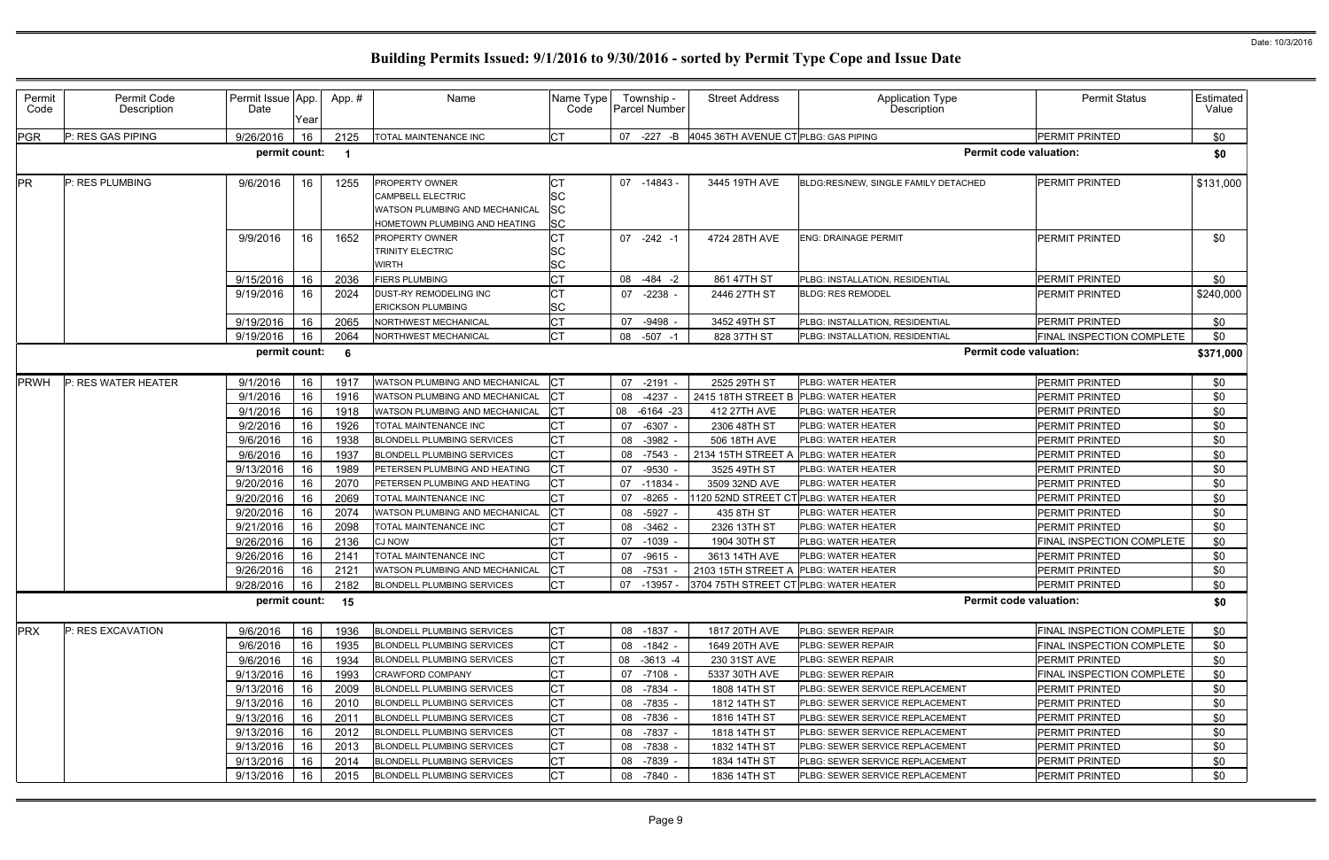| Permit<br>Code | Permit Code<br>Description | Permit Issue App.<br>Date | Year     | App.#        | Name                                                                                                          | Name Type<br>Code             |    | Township -<br>Parcel Number | <b>Street Address</b>                              | Application Type<br>Description          | <b>Permit Status</b>                    | Estimated<br>Value |
|----------------|----------------------------|---------------------------|----------|--------------|---------------------------------------------------------------------------------------------------------------|-------------------------------|----|-----------------------------|----------------------------------------------------|------------------------------------------|-----------------------------------------|--------------------|
| <b>PGR</b>     | P: RES GAS PIPING          | 9/26/2016                 | 16       | 2125         | TOTAL MAINTENANCE INC                                                                                         |                               |    |                             | 07 -227 -B 4045 36TH AVENUE CT PLBG: GAS PIPING    |                                          | PERMIT PRINTED                          | \$0                |
|                |                            | permit count:             |          | -1           |                                                                                                               |                               |    |                             |                                                    | <b>Permit code valuation:</b>            |                                         | \$0                |
| <b>PR</b>      | P: RES PLUMBING            | 9/6/2016                  | 16       | 1255         | PROPERTY OWNER<br><b>CAMPBELL ELECTRIC</b><br>WATSON PLUMBING AND MECHANICAL<br>HOMETOWN PLUMBING AND HEATING | ו טן<br>SC<br>SC<br><b>SC</b> |    | 07 -14843 -                 | 3445 19TH AVE                                      | BLDG:RES/NEW, SINGLE FAMILY DETACHED     | PERMIT PRINTED                          | \$131,000          |
|                |                            | 9/9/2016                  | 16.      | 1652         | <b>PROPERTY OWNER</b><br><b>TRINITY ELECTRIC</b><br>WIRTH                                                     | <b>CT</b><br><b>SC</b><br>SC  |    | $07 - 242 - 1$              | 4724 28TH AVE                                      | <b>ENG: DRAINAGE PERMIT</b>              | PERMIT PRINTED                          | \$0                |
|                |                            | 9/15/2016                 | 16       | 2036         | <b>FIERS PLUMBING</b>                                                                                         |                               |    | 08 -484 -2                  | 861 47TH ST                                        | PLBG: INSTALLATION, RESIDENTIAL          | PERMIT PRINTED                          | \$0                |
|                |                            | 9/19/2016                 | 16       | 2024         | DUST-RY REMODELING INC<br><b>ERICKSON PLUMBING</b>                                                            | <b>ICT</b><br><b>SC</b>       |    | 07 -2238 -                  | 2446 27TH ST                                       | <b>BLDG: RES REMODEL</b>                 | PERMIT PRINTED                          | \$240,000          |
|                |                            | 9/19/2016                 | 16       | 2065         | NORTHWEST MECHANICAL                                                                                          | IСТ                           |    | 07 -9498                    | 3452 49TH ST                                       | PLBG: INSTALLATION, RESIDENTIAL          | PERMIT PRINTED                          | \$0                |
|                |                            | 9/19/2016                 | 16       | 2064         | NORTHWEST MECHANICAL                                                                                          | <b>CT</b>                     |    | 08 -507 -1                  | 828 37TH ST                                        | PLBG: INSTALLATION, RESIDENTIAL          | FINAL INSPECTION COMPLETE               | \$0                |
|                |                            | permit count:             |          | 6            |                                                                                                               |                               |    |                             |                                                    | <b>Permit code valuation:</b>            |                                         | \$371,000          |
| <b>PRWH</b>    | P: RES WATER HEATER        | 9/1/2016                  | 16       | 1917         | <b>WATSON PLUMBING AND MECHANICAL</b>                                                                         |                               |    | 07 -2191 -                  | 2525 29TH ST                                       | PLBG: WATER HEATER                       | PERMIT PRINTED                          | \$0                |
|                |                            | 9/1/2016                  | 16       | 1916         | WATSON PLUMBING AND MECHANICAL                                                                                |                               |    | 08 -4237                    | 2415 18TH STREET B                                 | PLBG: WATER HEATER                       | PERMIT PRINTED                          | \$0                |
|                |                            | 9/1/2016                  | 16       | 1918         | <b>WATSON PLUMBING AND MECHANICAL</b>                                                                         |                               |    | 08 -6164 -23                | 412 27TH AVE                                       | PLBG: WATER HEATER                       | PERMIT PRINTED                          | \$0                |
|                |                            | 9/2/2016                  | 16       | 1926         | TOTAL MAINTENANCE INC                                                                                         |                               | 07 | -6307                       | 2306 48TH ST                                       | <b>PLBG: WATER HEATER</b>                | PERMIT PRINTED                          | \$0                |
|                |                            | 9/6/2016                  | 16       | 1938         | <b>BLONDELL PLUMBING SERVICES</b>                                                                             |                               | 08 | -3982                       | 506 18TH AVE                                       | PLBG: WATER HEATER                       | PERMIT PRINTED                          | \$0                |
|                |                            | 9/6/2016                  | 16       | 1937         | <b>BLONDELL PLUMBING SERVICES</b>                                                                             |                               |    | 08 -7543                    | 2134 15TH STREET A                                 | PLBG: WATER HEATER                       | PERMIT PRINTED                          | \$0                |
|                |                            | 9/13/2016                 | 16       | 1989         | PETERSEN PLUMBING AND HEATING                                                                                 | <b>CT</b>                     |    | 07 -9530                    | 3525 49TH ST                                       | PLBG: WATER HEATER                       | PERMIT PRINTED                          | \$0                |
|                |                            | 9/20/2016<br>9/20/2016    | 16<br>16 | 2070<br>2069 | PETERSEN PLUMBING AND HEATING<br>TOTAL MAINTENANCE INC                                                        |                               | 07 | 07 -11834<br>$-8265$        | 3509 32ND AVE<br>120 52ND STREET CT                | PLBG: WATER HEATER<br>PLBG: WATER HEATER | <b>PERMIT PRINTED</b><br>PERMIT PRINTED | \$0<br>\$0         |
|                |                            | 9/20/2016                 | 16       | 2074         | WATSON PLUMBING AND MECHANICAL                                                                                |                               |    | 08 -5927                    | 435 8TH ST                                         | PLBG: WATER HEATER                       | PERMIT PRINTED                          | \$0                |
|                |                            | 9/21/2016                 | 16       | 2098         | TOTAL MAINTENANCE INC                                                                                         |                               |    | 08 -3462                    | 2326 13TH ST                                       | PLBG: WATER HEATER                       | PERMIT PRINTED                          | \$0                |
|                |                            | 9/26/2016                 | 16       | 2136         | <b>CJ NOW</b>                                                                                                 |                               | 07 | $-1039$                     | 1904 30TH ST                                       | PLBG: WATER HEATER                       | FINAL INSPECTION COMPLETE               | \$0                |
|                |                            | 9/26/2016                 | 16       | 2141         | TOTAL MAINTENANCE INC                                                                                         |                               | 07 | $-9615$                     | 3613 14TH AVE                                      | PLBG: WATER HEATER                       | PERMIT PRINTED                          | \$0                |
|                |                            | 9/26/2016                 | 16       | 2121         | WATSON PLUMBING AND MECHANICAL                                                                                |                               |    | 08 -7531                    | 2103 15TH STREET A PLBG: WATER HEATER              |                                          | PERMIT PRINTED                          | \$0                |
|                |                            | 9/28/2016                 | 16       | 2182         | <b>BLONDELL PLUMBING SERVICES</b>                                                                             | <b>ICT</b>                    |    |                             | 07 -13957 - 3704 75TH STREET CT PLBG: WATER HEATER |                                          | PERMIT PRINTED                          | \$0                |
|                |                            | permit count: 15          |          |              |                                                                                                               |                               |    |                             |                                                    | <b>Permit code valuation:</b>            |                                         | \$0                |
| <b>PRX</b>     | P: RES EXCAVATION          | 9/6/2016                  | 16       | 1936         | <b>BLONDELL PLUMBING SERVICES</b>                                                                             |                               |    | 08 -1837 -                  | 1817 20TH AVE                                      | PLBG: SEWER REPAIR                       | FINAL INSPECTION COMPLETE               | \$0                |
|                |                            | 9/6/2016                  | 16       | 1935         | <b>BLONDELL PLUMBING SERVICES</b>                                                                             | <b>CT</b>                     |    | 08 -1842 -                  | 1649 20TH AVE                                      | PLBG: SEWER REPAIR                       | FINAL INSPECTION COMPLETE               | \$0                |
|                |                            | 9/6/2016                  | 16       | 1934         | <b>BLONDELL PLUMBING SERVICES</b>                                                                             | СT                            |    | 08 -3613 -4                 | 230 31ST AVE                                       | PLBG: SEWER REPAIR                       | PERMIT PRINTED                          | \$0                |
|                |                            | 9/13/2016                 | 16       | 1993         | <b>CRAWFORD COMPANY</b>                                                                                       | <b>CT</b>                     |    | 07 -7108 -                  | 5337 30TH AVE                                      | PLBG: SEWER REPAIR                       | FINAL INSPECTION COMPLETE               | \$0                |
|                |                            | 9/13/2016                 | 16       | 2009         | <b>BLONDELL PLUMBING SERVICES</b>                                                                             | IСT                           |    | 08 -7834                    | 1808 14TH ST                                       | PLBG: SEWER SERVICE REPLACEMENT          | PERMIT PRINTED                          | \$0                |
|                |                            | 9/13/2016                 | 16       | 2010         | <b>BLONDELL PLUMBING SERVICES</b>                                                                             | <b>CT</b>                     |    | 08 -7835 -                  | 1812 14TH ST                                       | PLBG: SEWER SERVICE REPLACEMENT          | PERMIT PRINTED                          | \$0                |
|                |                            | 9/13/2016                 | 16       | 2011         | <b>BLONDELL PLUMBING SERVICES</b>                                                                             | Iст                           |    | 08 -7836                    | 1816 14TH ST                                       | PLBG: SEWER SERVICE REPLACEMENT          | PERMIT PRINTED                          | \$0                |
|                |                            | 9/13/2016                 | 16       | 2012         | <b>BLONDELL PLUMBING SERVICES</b>                                                                             |                               |    | 08 -7837                    | 1818 14TH ST                                       | PLBG: SEWER SERVICE REPLACEMENT          | PERMIT PRINTED                          | \$0                |
|                |                            | 9/13/2016                 | 16       | 2013         | <b>BLONDELL PLUMBING SERVICES</b>                                                                             | <b>CT</b>                     |    | 08 -7838                    | 1832 14TH ST                                       | PLBG: SEWER SERVICE REPLACEMENT          | PERMIT PRINTED                          | \$0                |
|                |                            | 9/13/2016                 | 16       | 2014         | <b>BLONDELL PLUMBING SERVICES</b>                                                                             |                               |    | 08 -7839                    | 1834 14TH ST                                       | PLBG: SEWER SERVICE REPLACEMENT          | PERMIT PRINTED                          | \$0                |
|                |                            | 9/13/2016                 | 16       | 2015         | <b>BLONDELL PLUMBING SERVICES</b>                                                                             | <b>CT</b>                     |    | 08 -7840 -                  | 1836 14TH ST                                       | PLBG: SEWER SERVICE REPLACEMENT          | PERMIT PRINTED                          | \$0                |